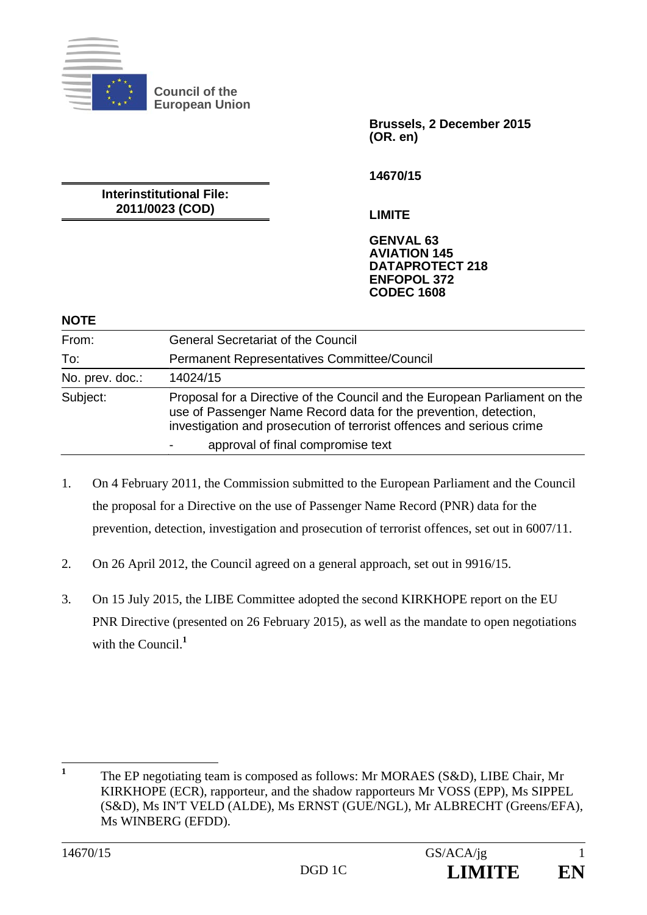

**Brussels, 2 December 2015 (OR. en)** 

**14670/15** 

**LIMITE** 

**Interinstitutional File: 2011/0023 (COD)** 

> **GENVAL 63 AVIATION 145 DATAPROTECT 218 ENFOPOL 372 CODEC 1608**

#### **NOTE**

| From:           | <b>General Secretariat of the Council</b>                                                                                                                                                                               |
|-----------------|-------------------------------------------------------------------------------------------------------------------------------------------------------------------------------------------------------------------------|
| To:             | Permanent Representatives Committee/Council                                                                                                                                                                             |
| No. prev. doc.: | 14024/15                                                                                                                                                                                                                |
| Subject:        | Proposal for a Directive of the Council and the European Parliament on the<br>use of Passenger Name Record data for the prevention, detection,<br>investigation and prosecution of terrorist offences and serious crime |
|                 | approval of final compromise text                                                                                                                                                                                       |

- 1. On 4 February 2011, the Commission submitted to the European Parliament and the Council the proposal for a Directive on the use of Passenger Name Record (PNR) data for the prevention, detection, investigation and prosecution of terrorist offences, set out in 6007/11.
- 2. On 26 April 2012, the Council agreed on a general approach, set out in 9916/15.
- 3. On 15 July 2015, the LIBE Committee adopted the second KIRKHOPE report on the EU PNR Directive (presented on 26 February 2015), as well as the mandate to open negotiations with the Council<sup>1</sup>

 **1** The EP negotiating team is composed as follows: Mr MORAES (S&D), LIBE Chair, Mr KIRKHOPE (ECR), rapporteur, and the shadow rapporteurs Mr VOSS (EPP), Ms SIPPEL (S&D), Ms IN'T VELD (ALDE), Ms ERNST (GUE/NGL), Mr ALBRECHT (Greens/EFA), Ms WINBERG (EFDD).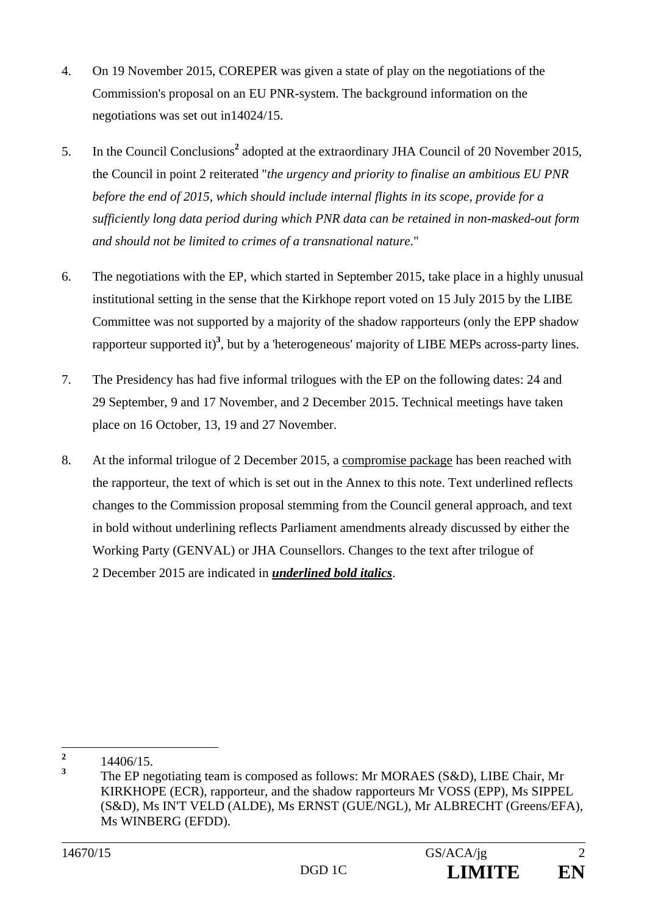- 4. On 19 November 2015, COREPER was given a state of play on the negotiations of the Commission's proposal on an EU PNR-system. The background information on the negotiations was set out in14024/15.
- 5. In the Council Conclusions<sup>2</sup> adopted at the extraordinary JHA Council of 20 November 2015, the Council in point 2 reiterated "*the urgency and priority to finalise an ambitious EU PNR before the end of 2015, which should include internal flights in its scope, provide for a sufficiently long data period during which PNR data can be retained in non-masked-out form and should not be limited to crimes of a transnational nature*."
- 6. The negotiations with the EP, which started in September 2015, take place in a highly unusual institutional setting in the sense that the Kirkhope report voted on 15 July 2015 by the LIBE Committee was not supported by a majority of the shadow rapporteurs (only the EPP shadow rapporteur supported it)<sup>3</sup>, but by a 'heterogeneous' majority of LIBE MEPs across-party lines.
- 7. The Presidency has had five informal trilogues with the EP on the following dates: 24 and 29 September, 9 and 17 November, and 2 December 2015. Technical meetings have taken place on 16 October, 13, 19 and 27 November.
- 8. At the informal trilogue of 2 December 2015, a compromise package has been reached with the rapporteur, the text of which is set out in the Annex to this note. Text underlined reflects changes to the Commission proposal stemming from the Council general approach, and text in bold without underlining reflects Parliament amendments already discussed by either the Working Party (GENVAL) or JHA Counsellors. Changes to the text after trilogue of 2 December 2015 are indicated in *underlined bold italics*.

 **2** 14406/15.

**<sup>3</sup>** The EP negotiating team is composed as follows: Mr MORAES (S&D), LIBE Chair, Mr KIRKHOPE (ECR), rapporteur, and the shadow rapporteurs Mr VOSS (EPP), Ms SIPPEL (S&D), Ms IN'T VELD (ALDE), Ms ERNST (GUE/NGL), Mr ALBRECHT (Greens/EFA), Ms WINBERG (EFDD).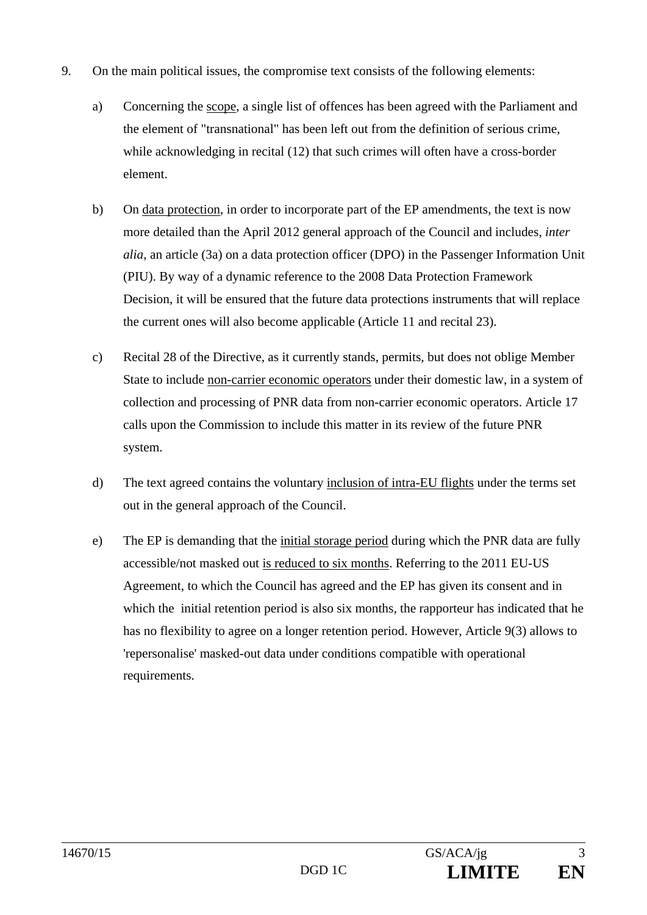- 9. On the main political issues, the compromise text consists of the following elements:
	- a) Concerning the scope, a single list of offences has been agreed with the Parliament and the element of "transnational" has been left out from the definition of serious crime, while acknowledging in recital (12) that such crimes will often have a cross-border element.
	- b) On data protection, in order to incorporate part of the EP amendments, the text is now more detailed than the April 2012 general approach of the Council and includes, *inter alia*, an article (3a) on a data protection officer (DPO) in the Passenger Information Unit (PIU). By way of a dynamic reference to the 2008 Data Protection Framework Decision, it will be ensured that the future data protections instruments that will replace the current ones will also become applicable (Article 11 and recital 23).
	- c) Recital 28 of the Directive, as it currently stands, permits, but does not oblige Member State to include non-carrier economic operators under their domestic law, in a system of collection and processing of PNR data from non-carrier economic operators. Article 17 calls upon the Commission to include this matter in its review of the future PNR system.
	- d) The text agreed contains the voluntary inclusion of intra-EU flights under the terms set out in the general approach of the Council.
	- e) The EP is demanding that the initial storage period during which the PNR data are fully accessible/not masked out is reduced to six months. Referring to the 2011 EU-US Agreement, to which the Council has agreed and the EP has given its consent and in which the initial retention period is also six months, the rapporteur has indicated that he has no flexibility to agree on a longer retention period. However, Article 9(3) allows to 'repersonalise' masked-out data under conditions compatible with operational requirements.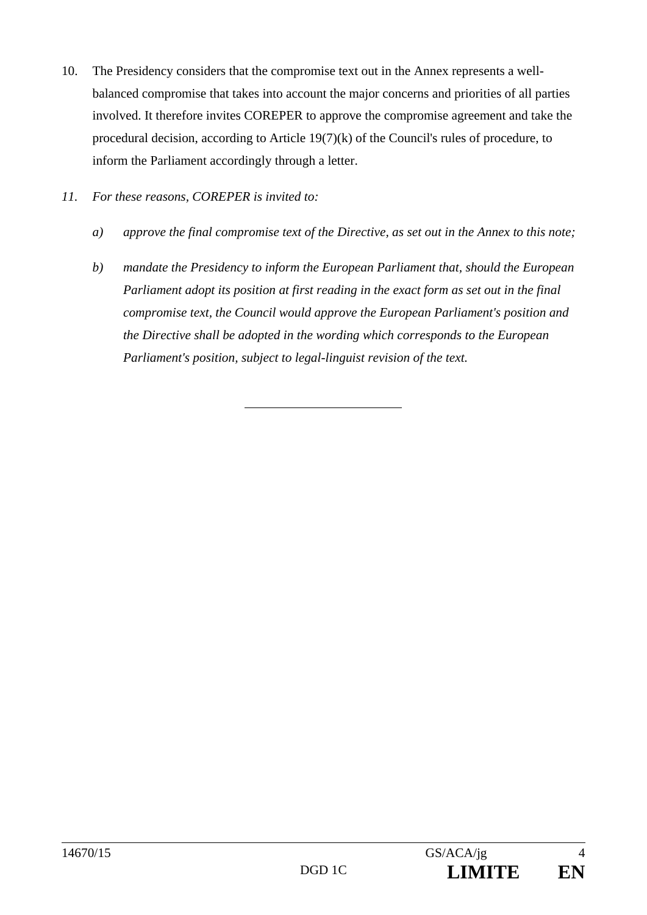- 10. The Presidency considers that the compromise text out in the Annex represents a wellbalanced compromise that takes into account the major concerns and priorities of all parties involved. It therefore invites COREPER to approve the compromise agreement and take the procedural decision, according to Article 19(7)(k) of the Council's rules of procedure, to inform the Parliament accordingly through a letter.
- *11. For these reasons, COREPER is invited to:* 
	- *a) approve the final compromise text of the Directive, as set out in the Annex to this note;*
	- *b) mandate the Presidency to inform the European Parliament that, should the European Parliament adopt its position at first reading in the exact form as set out in the final compromise text, the Council would approve the European Parliament's position and the Directive shall be adopted in the wording which corresponds to the European Parliament's position, subject to legal-linguist revision of the text.*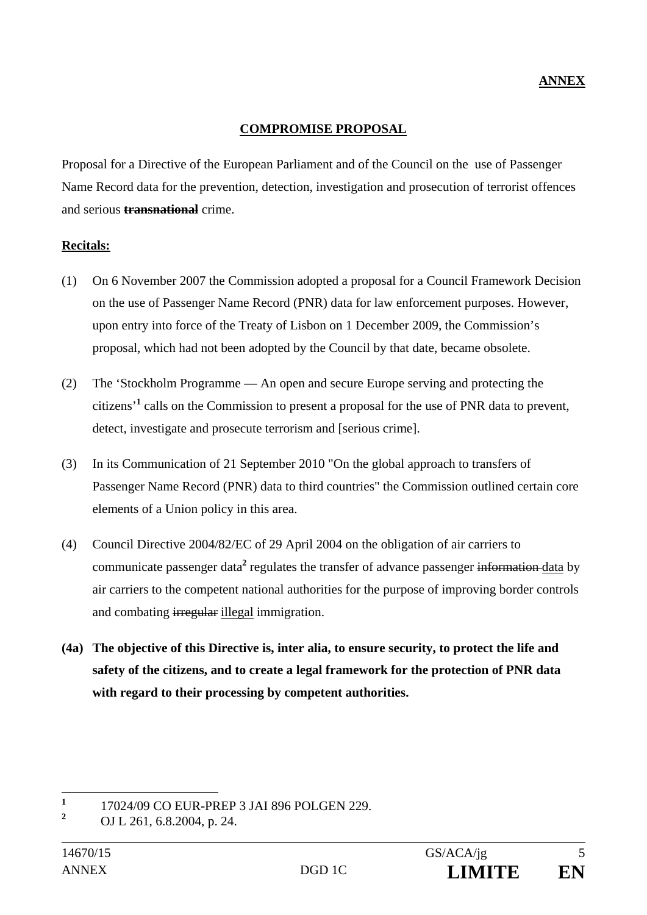### **COMPROMISE PROPOSAL**

Proposal for a Directive of the European Parliament and of the Council on the use of Passenger Name Record data for the prevention, detection, investigation and prosecution of terrorist offences and serious **transnational** crime.

#### **Recitals:**

- (1) On 6 November 2007 the Commission adopted a proposal for a Council Framework Decision on the use of Passenger Name Record (PNR) data for law enforcement purposes. However, upon entry into force of the Treaty of Lisbon on 1 December 2009, the Commission's proposal, which had not been adopted by the Council by that date, became obsolete.
- (2) The 'Stockholm Programme An open and secure Europe serving and protecting the citizens'**<sup>1</sup>** calls on the Commission to present a proposal for the use of PNR data to prevent, detect, investigate and prosecute terrorism and [serious crime].
- (3) In its Communication of 21 September 2010 "On the global approach to transfers of Passenger Name Record (PNR) data to third countries" the Commission outlined certain core elements of a Union policy in this area.
- (4) Council Directive 2004/82/EC of 29 April 2004 on the obligation of air carriers to communicate passenger data<sup>2</sup> regulates the transfer of advance passenger information data by air carriers to the competent national authorities for the purpose of improving border controls and combating irregular illegal immigration.
- **(4a) The objective of this Directive is, inter alia, to ensure security, to protect the life and safety of the citizens, and to create a legal framework for the protection of PNR data with regard to their processing by competent authorities.**

 **1** 17024/09 CO EUR-PREP 3 JAI 896 POLGEN 229.

**<sup>2</sup>** OJ L 261, 6.8.2004, p. 24.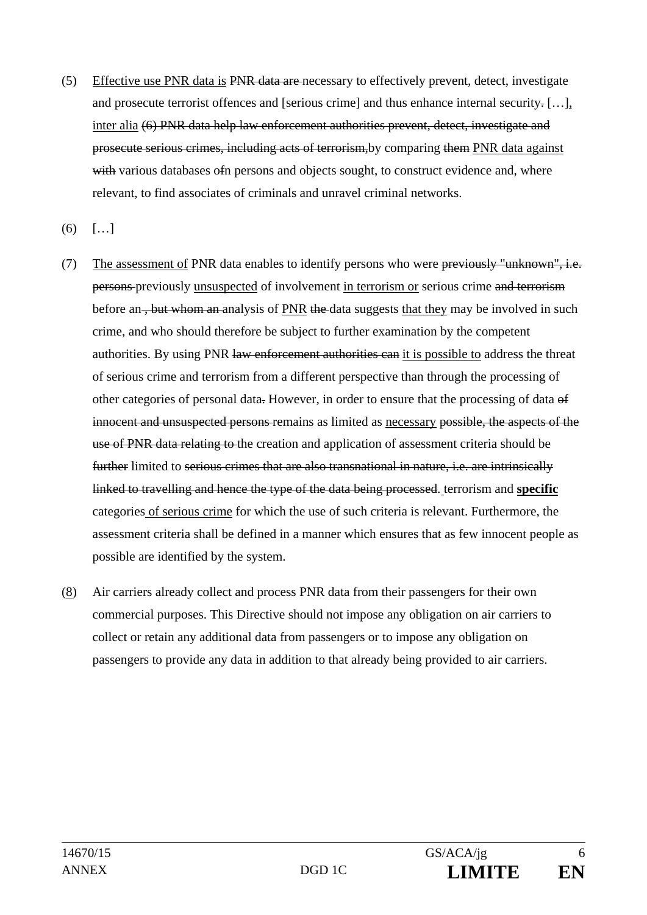- (5) Effective use PNR data is PNR data are necessary to effectively prevent, detect, investigate and prosecute terrorist offences and [serious crime] and thus enhance internal security. […], inter alia (6) PNR data help law enforcement authorities prevent, detect, investigate and prosecute serious crimes, including acts of terrorism,by comparing them PNR data against with various databases of persons and objects sought, to construct evidence and, where relevant, to find associates of criminals and unravel criminal networks.
- $(6)$  [...]
- (7) The assessment of PNR data enables to identify persons who were previously "unknown", i.e. persons previously unsuspected of involvement in terrorism or serious crime and terrorism before an, but whom an analysis of PNR the data suggests that they may be involved in such crime, and who should therefore be subject to further examination by the competent authorities. By using PNR law enforcement authorities can it is possible to address the threat of serious crime and terrorism from a different perspective than through the processing of other categories of personal data. However, in order to ensure that the processing of data of innocent and unsuspected persons remains as limited as necessary possible, the aspects of the use of PNR data relating to the creation and application of assessment criteria should be further limited to serious crimes that are also transnational in nature, i.e. are intrinsically linked to travelling and hence the type of the data being processed. terrorism and **specific** categories of serious crime for which the use of such criteria is relevant. Furthermore, the assessment criteria shall be defined in a manner which ensures that as few innocent people as possible are identified by the system.
- (8) Air carriers already collect and process PNR data from their passengers for their own commercial purposes. This Directive should not impose any obligation on air carriers to collect or retain any additional data from passengers or to impose any obligation on passengers to provide any data in addition to that already being provided to air carriers.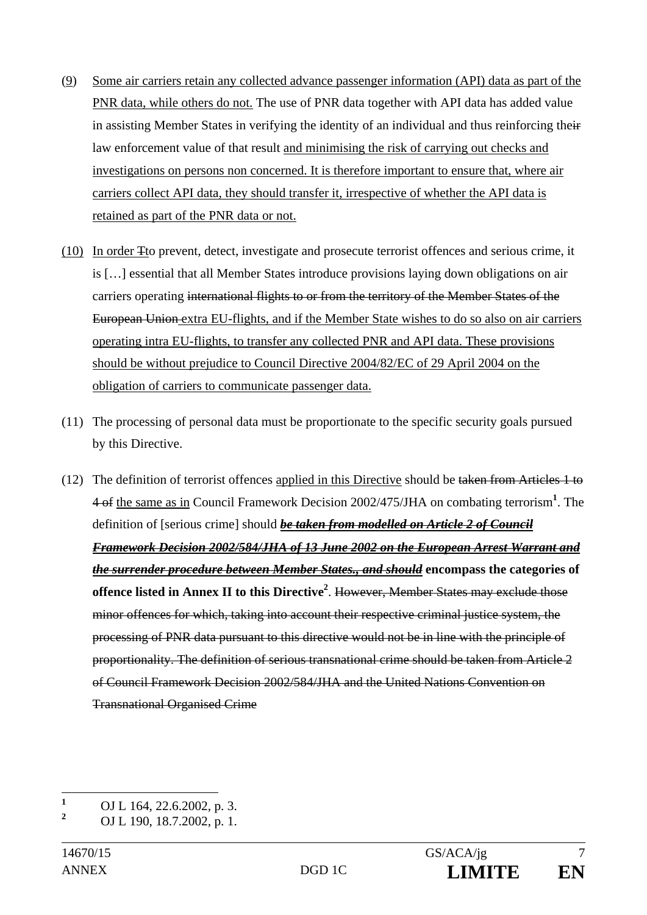- (9) Some air carriers retain any collected advance passenger information (API) data as part of the PNR data, while others do not. The use of PNR data together with API data has added value in assisting Member States in verifying the identity of an individual and thus reinforcing their law enforcement value of that result and minimising the risk of carrying out checks and investigations on persons non concerned. It is therefore important to ensure that, where air carriers collect API data, they should transfer it, irrespective of whether the API data is retained as part of the PNR data or not.
- (10) In order Tto prevent, detect, investigate and prosecute terrorist offences and serious crime, it is […] essential that all Member States introduce provisions laying down obligations on air carriers operating international flights to or from the territory of the Member States of the European Union extra EU-flights, and if the Member State wishes to do so also on air carriers operating intra EU-flights, to transfer any collected PNR and API data. These provisions should be without prejudice to Council Directive 2004/82/EC of 29 April 2004 on the obligation of carriers to communicate passenger data.
- (11) The processing of personal data must be proportionate to the specific security goals pursued by this Directive.
- (12) The definition of terrorist offences applied in this Directive should be taken from Articles 1 to 4 of the same as in Council Framework Decision 2002/475/JHA on combating terrorism**<sup>1</sup>** . The definition of [serious crime] should *be taken from modelled on Article 2 of Council Framework Decision 2002/584/JHA of 13 June 2002 on the European Arrest Warrant and the surrender procedure between Member States., and should* **encompass the categories of offence listed in Annex II to this Directive2** . However, Member States may exclude those minor offences for which, taking into account their respective criminal justice system, the processing of PNR data pursuant to this directive would not be in line with the principle of proportionality. The definition of serious transnational crime should be taken from Article 2 of Council Framework Decision 2002/584/JHA and the United Nations Convention on Transnational Organised Crime

 **1** OJ L 164, 22.6.2002, p. 3.

**<sup>2</sup>** OJ L 190, 18.7.2002, p. 1.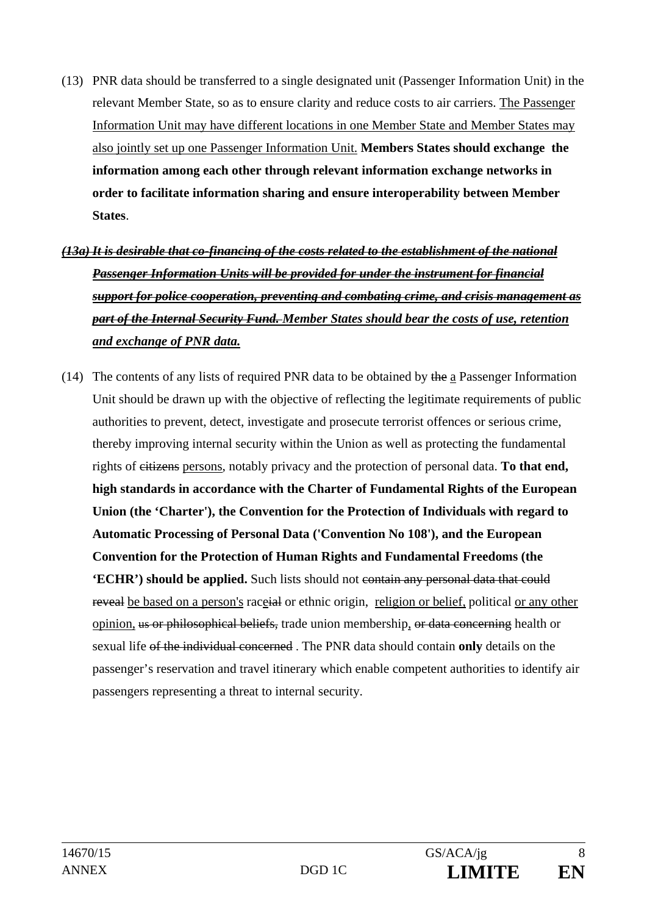- (13) PNR data should be transferred to a single designated unit (Passenger Information Unit) in the relevant Member State, so as to ensure clarity and reduce costs to air carriers. The Passenger Information Unit may have different locations in one Member State and Member States may also jointly set up one Passenger Information Unit. **Members States should exchange the information among each other through relevant information exchange networks in order to facilitate information sharing and ensure interoperability between Member States**.
- *(13a) It is desirable that co-financing of the costs related to the establishment of the national Passenger Information Units will be provided for under the instrument for financial support for police cooperation, preventing and combating crime, and crisis management as part of the Internal Security Fund. Member States should bear the costs of use, retention and exchange of PNR data.*
- (14) The contents of any lists of required PNR data to be obtained by the a Passenger Information Unit should be drawn up with the objective of reflecting the legitimate requirements of public authorities to prevent, detect, investigate and prosecute terrorist offences or serious crime, thereby improving internal security within the Union as well as protecting the fundamental rights of citizens persons, notably privacy and the protection of personal data. **To that end, high standards in accordance with the Charter of Fundamental Rights of the European Union (the 'Charter'), the Convention for the Protection of Individuals with regard to Automatic Processing of Personal Data ('Convention No 108'), and the European Convention for the Protection of Human Rights and Fundamental Freedoms (the 'ECHR'**) should be applied. Such lists should not contain any personal data that could reveal be based on a person's race<del>ial</del> or ethnic origin, religion or belief, political or any other opinion, us or philosophical beliefs, trade union membership, or data concerning health or sexual life of the individual concerned . The PNR data should contain **only** details on the passenger's reservation and travel itinerary which enable competent authorities to identify air passengers representing a threat to internal security.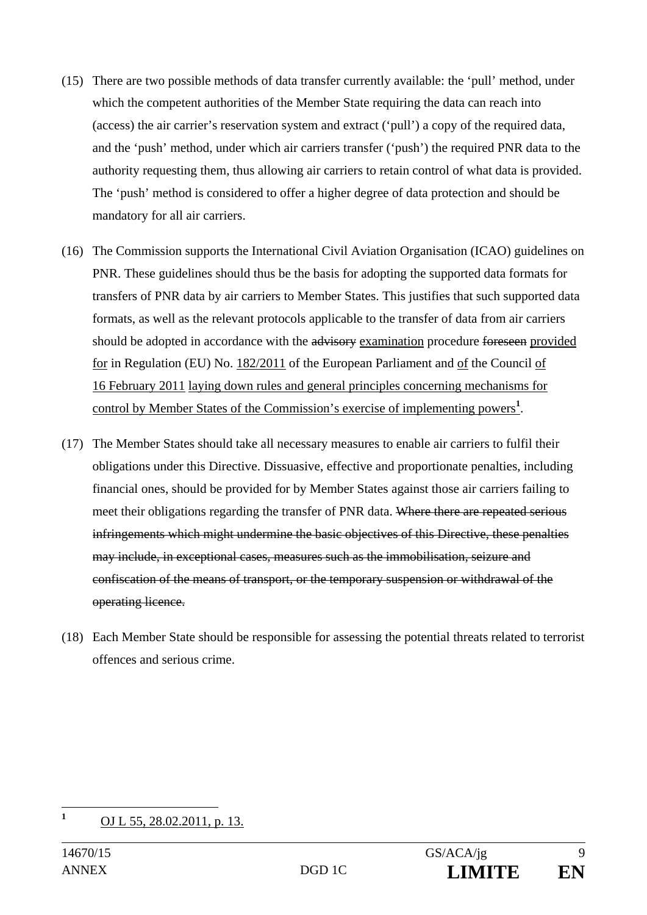- (15) There are two possible methods of data transfer currently available: the 'pull' method, under which the competent authorities of the Member State requiring the data can reach into (access) the air carrier's reservation system and extract ('pull') a copy of the required data, and the 'push' method, under which air carriers transfer ('push') the required PNR data to the authority requesting them, thus allowing air carriers to retain control of what data is provided. The 'push' method is considered to offer a higher degree of data protection and should be mandatory for all air carriers.
- (16) The Commission supports the International Civil Aviation Organisation (ICAO) guidelines on PNR. These guidelines should thus be the basis for adopting the supported data formats for transfers of PNR data by air carriers to Member States. This justifies that such supported data formats, as well as the relevant protocols applicable to the transfer of data from air carriers should be adopted in accordance with the advisory examination procedure foreseen provided for in Regulation (EU) No. 182/2011 of the European Parliament and of the Council of 16 February 2011 laying down rules and general principles concerning mechanisms for control by Member States of the Commission's exercise of implementing powers**<sup>1</sup>** .
- (17) The Member States should take all necessary measures to enable air carriers to fulfil their obligations under this Directive. Dissuasive, effective and proportionate penalties, including financial ones, should be provided for by Member States against those air carriers failing to meet their obligations regarding the transfer of PNR data. Where there are repeated serious infringements which might undermine the basic objectives of this Directive, these penalties may include, in exceptional cases, measures such as the immobilisation, seizure and confiscation of the means of transport, or the temporary suspension or withdrawal of the operating licence.
- (18) Each Member State should be responsible for assessing the potential threats related to terrorist offences and serious crime.

 **1** OJ L 55, 28.02.2011, p. 13.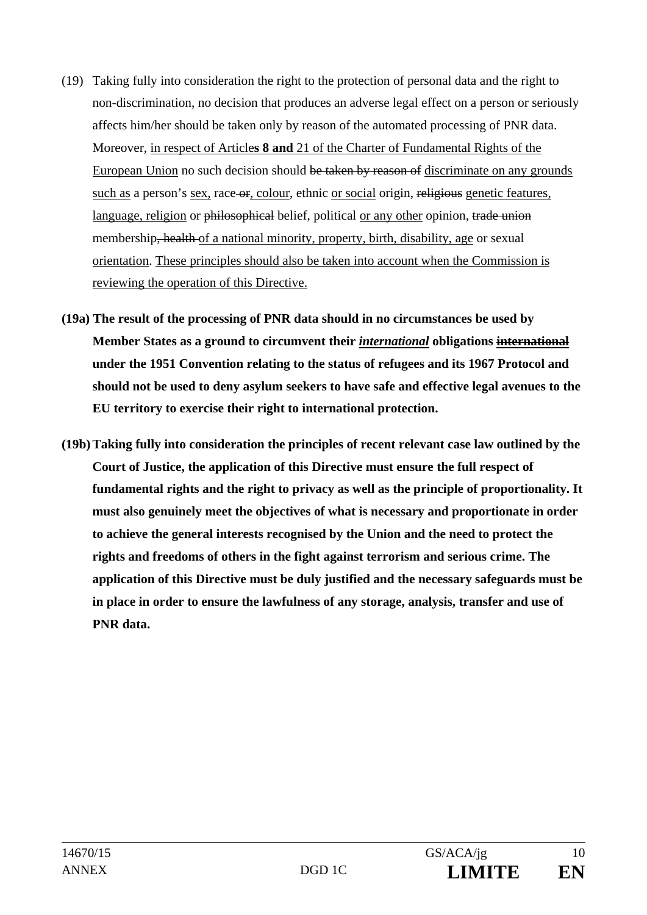- (19) Taking fully into consideration the right to the protection of personal data and the right to non-discrimination, no decision that produces an adverse legal effect on a person or seriously affects him/her should be taken only by reason of the automated processing of PNR data. Moreover, in respect of Article**s 8 and** 21 of the Charter of Fundamental Rights of the European Union no such decision should be taken by reason of discriminate on any grounds such as a person's sex, race-or, colour, ethnic or social origin, religious genetic features, language, religion or philosophical belief, political or any other opinion, trade union membership<del>, health</del> of a national minority, property, birth, disability, age or sexual orientation. These principles should also be taken into account when the Commission is reviewing the operation of this Directive.
- **(19a) The result of the processing of PNR data should in no circumstances be used by Member States as a ground to circumvent their** *international* **obligations international under the 1951 Convention relating to the status of refugees and its 1967 Protocol and should not be used to deny asylum seekers to have safe and effective legal avenues to the EU territory to exercise their right to international protection.**
- **(19b) Taking fully into consideration the principles of recent relevant case law outlined by the Court of Justice, the application of this Directive must ensure the full respect of fundamental rights and the right to privacy as well as the principle of proportionality. It must also genuinely meet the objectives of what is necessary and proportionate in order to achieve the general interests recognised by the Union and the need to protect the rights and freedoms of others in the fight against terrorism and serious crime. The application of this Directive must be duly justified and the necessary safeguards must be in place in order to ensure the lawfulness of any storage, analysis, transfer and use of PNR data.**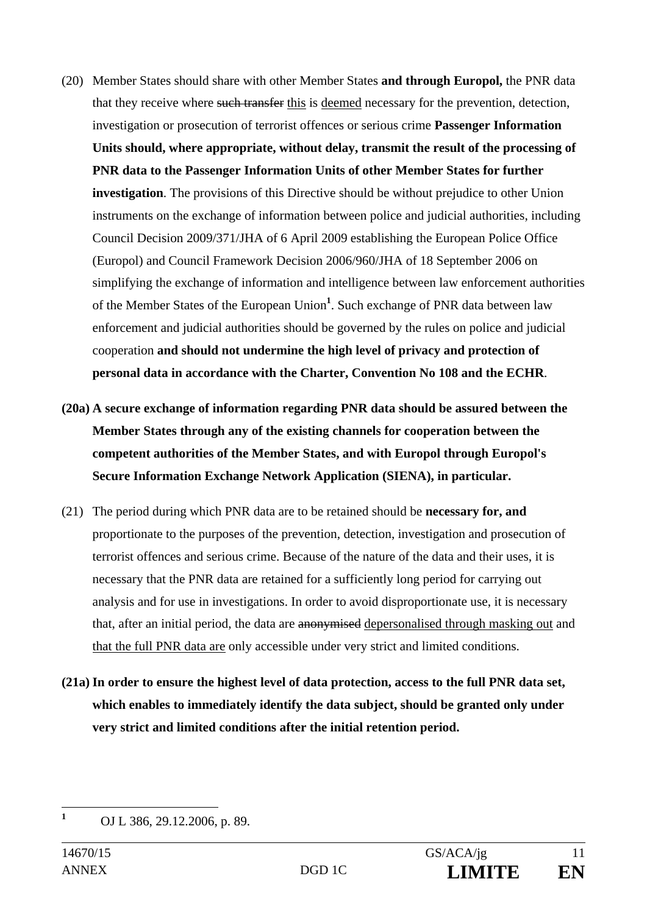- (20) Member States should share with other Member States **and through Europol,** the PNR data that they receive where such transfer this is deemed necessary for the prevention, detection, investigation or prosecution of terrorist offences or serious crime **Passenger Information Units should, where appropriate, without delay, transmit the result of the processing of PNR data to the Passenger Information Units of other Member States for further investigation**. The provisions of this Directive should be without prejudice to other Union instruments on the exchange of information between police and judicial authorities, including Council Decision 2009/371/JHA of 6 April 2009 establishing the European Police Office (Europol) and Council Framework Decision 2006/960/JHA of 18 September 2006 on simplifying the exchange of information and intelligence between law enforcement authorities of the Member States of the European Union**<sup>1</sup>** . Such exchange of PNR data between law enforcement and judicial authorities should be governed by the rules on police and judicial cooperation **and should not undermine the high level of privacy and protection of personal data in accordance with the Charter, Convention No 108 and the ECHR**.
- **(20a) A secure exchange of information regarding PNR data should be assured between the Member States through any of the existing channels for cooperation between the competent authorities of the Member States, and with Europol through Europol's Secure Information Exchange Network Application (SIENA), in particular.**
- (21) The period during which PNR data are to be retained should be **necessary for, and** proportionate to the purposes of the prevention, detection, investigation and prosecution of terrorist offences and serious crime. Because of the nature of the data and their uses, it is necessary that the PNR data are retained for a sufficiently long period for carrying out analysis and for use in investigations. In order to avoid disproportionate use, it is necessary that, after an initial period, the data are anonymised depersonalised through masking out and that the full PNR data are only accessible under very strict and limited conditions.
- **(21a) In order to ensure the highest level of data protection, access to the full PNR data set, which enables to immediately identify the data subject, should be granted only under very strict and limited conditions after the initial retention period.**

 **1** OJ L 386, 29.12.2006, p. 89.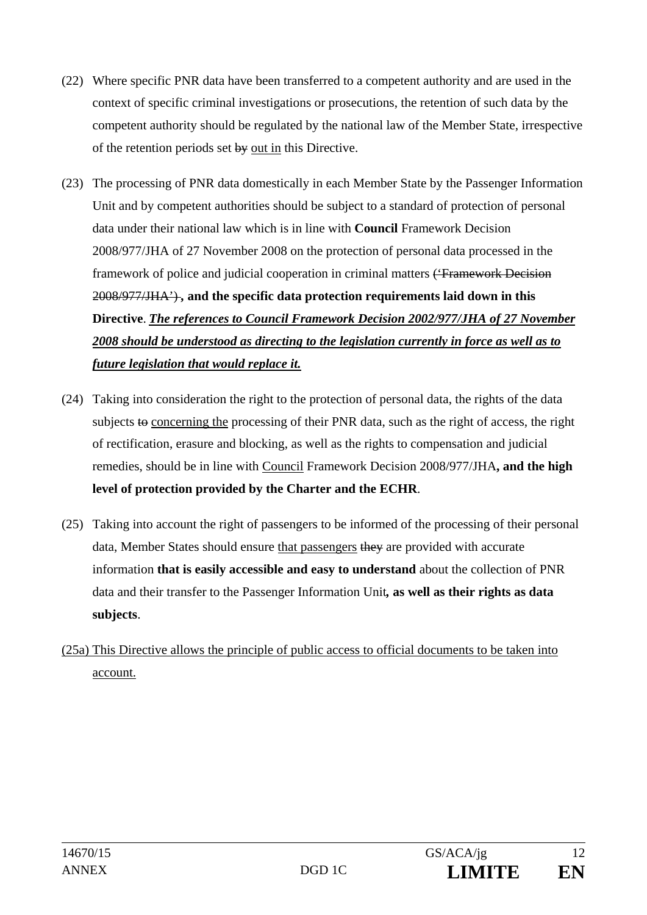- (22) Where specific PNR data have been transferred to a competent authority and are used in the context of specific criminal investigations or prosecutions, the retention of such data by the competent authority should be regulated by the national law of the Member State, irrespective of the retention periods set  $by$  out in this Directive.
- (23) The processing of PNR data domestically in each Member State by the Passenger Information Unit and by competent authorities should be subject to a standard of protection of personal data under their national law which is in line with **Council** Framework Decision 2008/977/JHA of 27 November 2008 on the protection of personal data processed in the framework of police and judicial cooperation in criminal matters ('Framework Decision 2008/977/JHA') *,* **and the specific data protection requirements laid down in this Directive**. *The references to Council Framework Decision 2002/977/JHA of 27 November 2008 should be understood as directing to the legislation currently in force as well as to future legislation that would replace it.*
- (24) Taking into consideration the right to the protection of personal data, the rights of the data subjects to concerning the processing of their PNR data, such as the right of access, the right of rectification, erasure and blocking, as well as the rights to compensation and judicial remedies, should be in line with Council Framework Decision 2008/977/JHA**, and the high level of protection provided by the Charter and the ECHR**.
- (25) Taking into account the right of passengers to be informed of the processing of their personal data, Member States should ensure that passengers they are provided with accurate information **that is easily accessible and easy to understand** about the collection of PNR data and their transfer to the Passenger Information Unit*,* **as well as their rights as data subjects**.
- (25a) This Directive allows the principle of public access to official documents to be taken into account.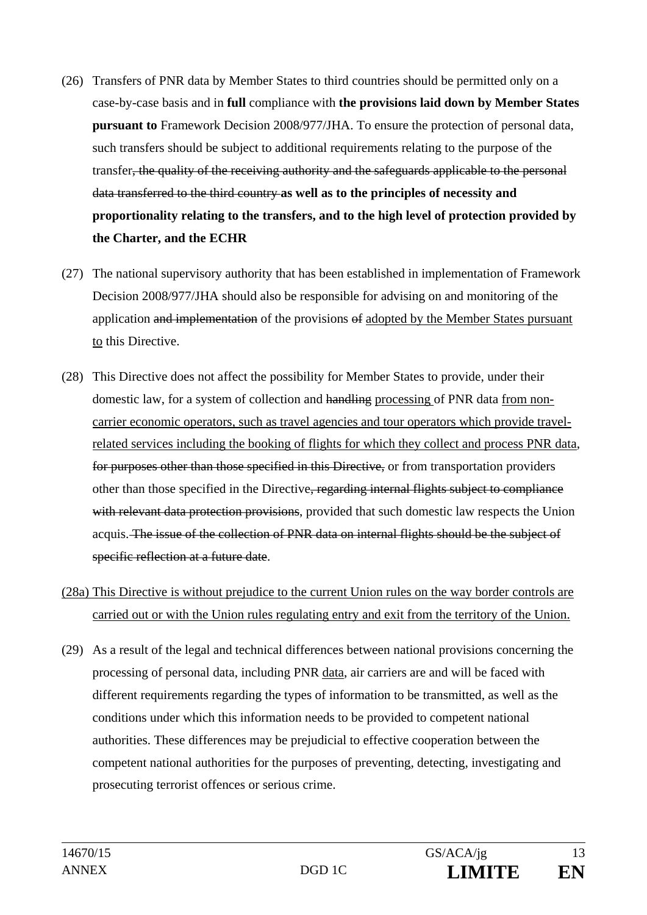- (26) Transfers of PNR data by Member States to third countries should be permitted only on a case-by-case basis and in **full** compliance with **the provisions laid down by Member States pursuant to** Framework Decision 2008/977/JHA. To ensure the protection of personal data, such transfers should be subject to additional requirements relating to the purpose of the transfer, the quality of the receiving authority and the safeguards applicable to the personal data transferred to the third country **as well as to the principles of necessity and proportionality relating to the transfers, and to the high level of protection provided by the Charter, and the ECHR**
- (27) The national supervisory authority that has been established in implementation of Framework Decision 2008/977/JHA should also be responsible for advising on and monitoring of the application and implementation of the provisions of adopted by the Member States pursuant to this Directive.
- (28) This Directive does not affect the possibility for Member States to provide, under their domestic law, for a system of collection and handling processing of PNR data from noncarrier economic operators, such as travel agencies and tour operators which provide travelrelated services including the booking of flights for which they collect and process PNR data, for purposes other than those specified in this Directive, or from transportation providers other than those specified in the Directive, regarding internal flights subject to compliance with relevant data protection provisions, provided that such domestic law respects the Union acquis. The issue of the collection of PNR data on internal flights should be the subject of specific reflection at a future date.
- (28a) This Directive is without prejudice to the current Union rules on the way border controls are carried out or with the Union rules regulating entry and exit from the territory of the Union.
- (29) As a result of the legal and technical differences between national provisions concerning the processing of personal data, including PNR data, air carriers are and will be faced with different requirements regarding the types of information to be transmitted, as well as the conditions under which this information needs to be provided to competent national authorities. These differences may be prejudicial to effective cooperation between the competent national authorities for the purposes of preventing, detecting, investigating and prosecuting terrorist offences or serious crime.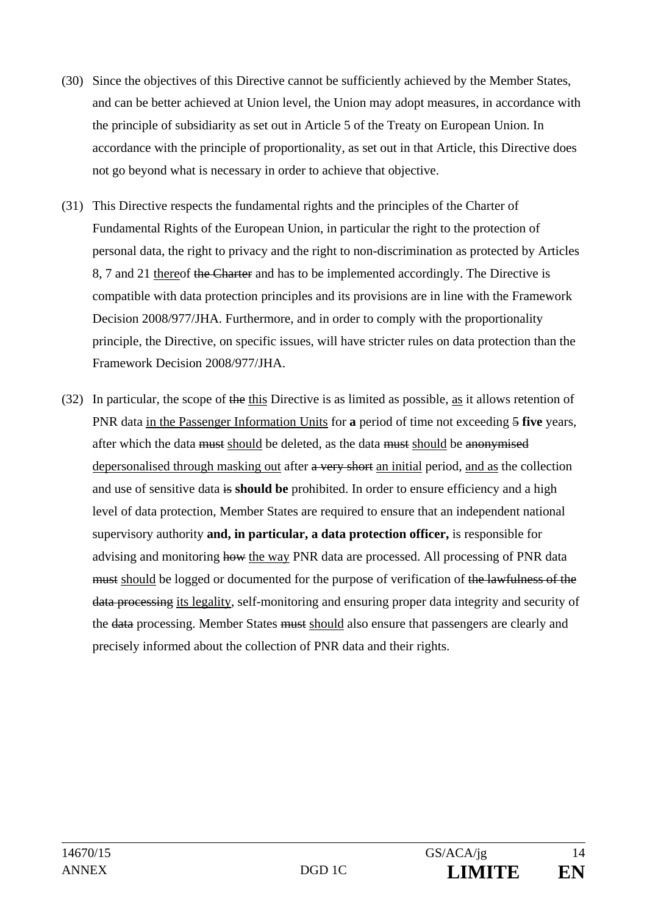- (30) Since the objectives of this Directive cannot be sufficiently achieved by the Member States, and can be better achieved at Union level, the Union may adopt measures, in accordance with the principle of subsidiarity as set out in Article 5 of the Treaty on European Union. In accordance with the principle of proportionality, as set out in that Article, this Directive does not go beyond what is necessary in order to achieve that objective.
- (31) This Directive respects the fundamental rights and the principles of the Charter of Fundamental Rights of the European Union, in particular the right to the protection of personal data, the right to privacy and the right to non-discrimination as protected by Articles 8, 7 and 21 thereof the Charter and has to be implemented accordingly. The Directive is compatible with data protection principles and its provisions are in line with the Framework Decision 2008/977/JHA. Furthermore, and in order to comply with the proportionality principle, the Directive, on specific issues, will have stricter rules on data protection than the Framework Decision 2008/977/JHA.
- (32) In particular, the scope of the this Directive is as limited as possible, as it allows retention of PNR data in the Passenger Information Units for **a** period of time not exceeding 5 **five** years, after which the data must should be deleted, as the data must should be anonymised depersonalised through masking out after a very short an initial period, and as the collection and use of sensitive data is **should be** prohibited. In order to ensure efficiency and a high level of data protection, Member States are required to ensure that an independent national supervisory authority **and, in particular, a data protection officer,** is responsible for advising and monitoring how the way PNR data are processed. All processing of PNR data must should be logged or documented for the purpose of verification of the lawfulness of the data processing its legality, self-monitoring and ensuring proper data integrity and security of the data processing. Member States must should also ensure that passengers are clearly and precisely informed about the collection of PNR data and their rights.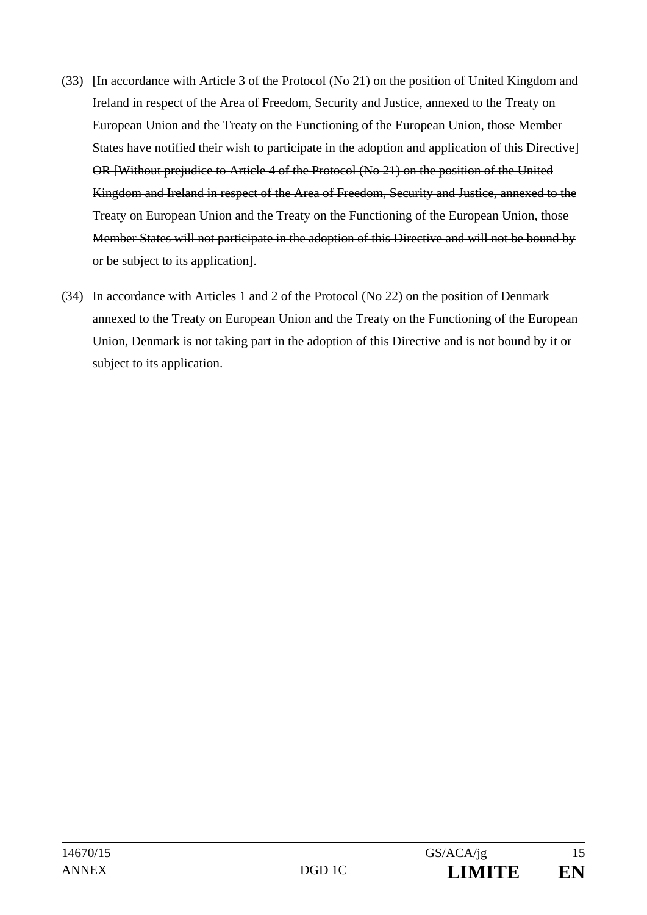- (33) [In accordance with Article 3 of the Protocol (No 21) on the position of United Kingdom and Ireland in respect of the Area of Freedom, Security and Justice, annexed to the Treaty on European Union and the Treaty on the Functioning of the European Union, those Member States have notified their wish to participate in the adoption and application of this Directive] OR [Without prejudice to Article 4 of the Protocol (No 21) on the position of the United Kingdom and Ireland in respect of the Area of Freedom, Security and Justice, annexed to the Treaty on European Union and the Treaty on the Functioning of the European Union, those Member States will not participate in the adoption of this Directive and will not be bound by or be subject to its application].
- (34) In accordance with Articles 1 and 2 of the Protocol (No 22) on the position of Denmark annexed to the Treaty on European Union and the Treaty on the Functioning of the European Union, Denmark is not taking part in the adoption of this Directive and is not bound by it or subject to its application.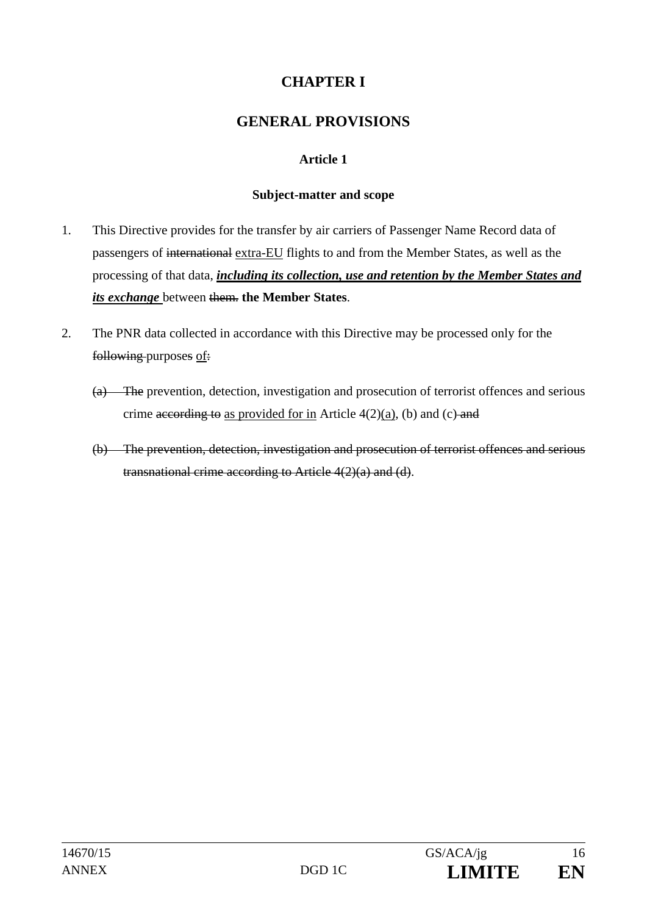# **CHAPTER I**

## **GENERAL PROVISIONS**

## **Article 1**

#### **Subject-matter and scope**

- 1. This Directive provides for the transfer by air carriers of Passenger Name Record data of passengers of international extra-EU flights to and from the Member States, as well as the processing of that data, *including its collection, use and retention by the Member States and its exchange* between them. **the Member States**.
- 2. The PNR data collected in accordance with this Directive may be processed only for the following purposes of:
	- (a) The prevention, detection, investigation and prosecution of terrorist offences and serious crime according to as provided for in Article  $4(2)(a)$ , (b) and (c) and
	- (b) The prevention, detection, investigation and prosecution of terrorist offences and serious transnational crime according to Article 4(2)(a) and (d).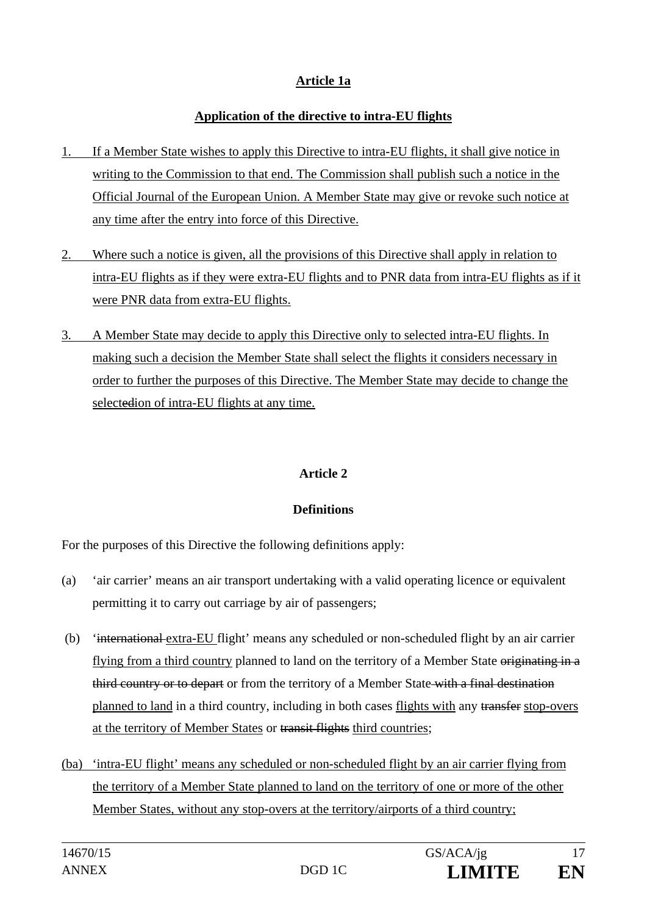## **Article 1a**

## **Application of the directive to intra-EU flights**

- 1. If a Member State wishes to apply this Directive to intra-EU flights, it shall give notice in writing to the Commission to that end. The Commission shall publish such a notice in the Official Journal of the European Union. A Member State may give or revoke such notice at any time after the entry into force of this Directive.
- 2. Where such a notice is given, all the provisions of this Directive shall apply in relation to intra-EU flights as if they were extra-EU flights and to PNR data from intra-EU flights as if it were PNR data from extra-EU flights.
- 3. A Member State may decide to apply this Directive only to selected intra-EU flights. In making such a decision the Member State shall select the flights it considers necessary in order to further the purposes of this Directive. The Member State may decide to change the selectedion of intra-EU flights at any time.

## **Article 2**

## **Definitions**

For the purposes of this Directive the following definitions apply:

- (a) 'air carrier' means an air transport undertaking with a valid operating licence or equivalent permitting it to carry out carriage by air of passengers;
- (b) 'international extra-EU flight' means any scheduled or non-scheduled flight by an air carrier flying from a third country planned to land on the territory of a Member State originating in a third country or to depart or from the territory of a Member State with a final destination planned to land in a third country, including in both cases flights with any transfer stop-overs at the territory of Member States or transit flights third countries;
- (ba) 'intra-EU flight' means any scheduled or non-scheduled flight by an air carrier flying from the territory of a Member State planned to land on the territory of one or more of the other Member States, without any stop-overs at the territory/airports of a third country;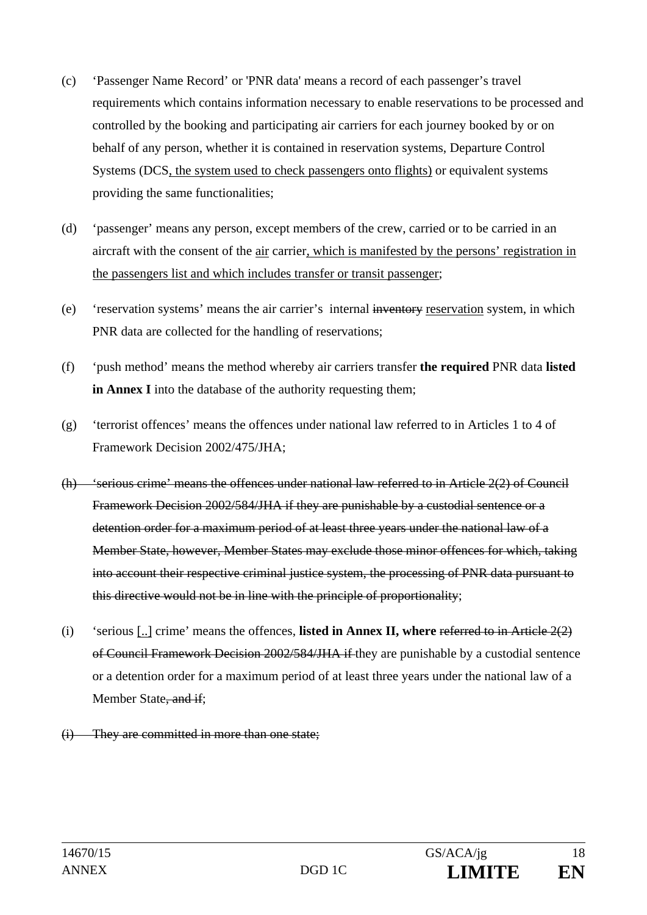- (c) 'Passenger Name Record' or 'PNR data' means a record of each passenger's travel requirements which contains information necessary to enable reservations to be processed and controlled by the booking and participating air carriers for each journey booked by or on behalf of any person, whether it is contained in reservation systems, Departure Control Systems (DCS, the system used to check passengers onto flights) or equivalent systems providing the same functionalities;
- (d) 'passenger' means any person, except members of the crew, carried or to be carried in an aircraft with the consent of the air carrier, which is manifested by the persons' registration in the passengers list and which includes transfer or transit passenger;
- (e) 'reservation systems' means the air carrier's internal inventory reservation system, in which PNR data are collected for the handling of reservations;
- (f) 'push method' means the method whereby air carriers transfer **the required** PNR data **listed in Annex I** into the database of the authority requesting them;
- (g) 'terrorist offences' means the offences under national law referred to in Articles 1 to 4 of Framework Decision 2002/475/JHA;
- (h) 'serious crime' means the offences under national law referred to in Article 2(2) of Council Framework Decision 2002/584/JHA if they are punishable by a custodial sentence or a detention order for a maximum period of at least three years under the national law of a Member State, however, Member States may exclude those minor offences for which, taking into account their respective criminal justice system, the processing of PNR data pursuant to this directive would not be in line with the principle of proportionality;
- (i) 'serious [..] crime' means the offences, **listed in Annex II, where** referred to in Article 2(2) of Council Framework Decision 2002/584/JHA if they are punishable by a custodial sentence or a detention order for a maximum period of at least three years under the national law of a Member State, and if;
- (i) They are committed in more than one state;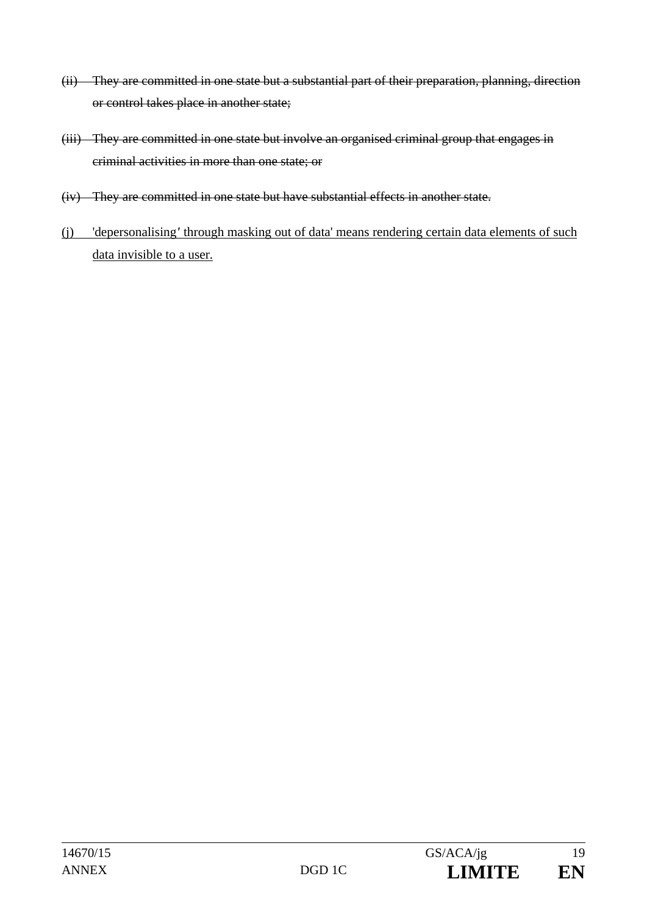- (ii) They are committed in one state but a substantial part of their preparation, planning, direction or control takes place in another state;
- (iii) They are committed in one state but involve an organised criminal group that engages in criminal activities in more than one state; or
- (iv) They are committed in one state but have substantial effects in another state.
- (j) 'depersonalising*'* through masking out of data' means rendering certain data elements of such data invisible to a user.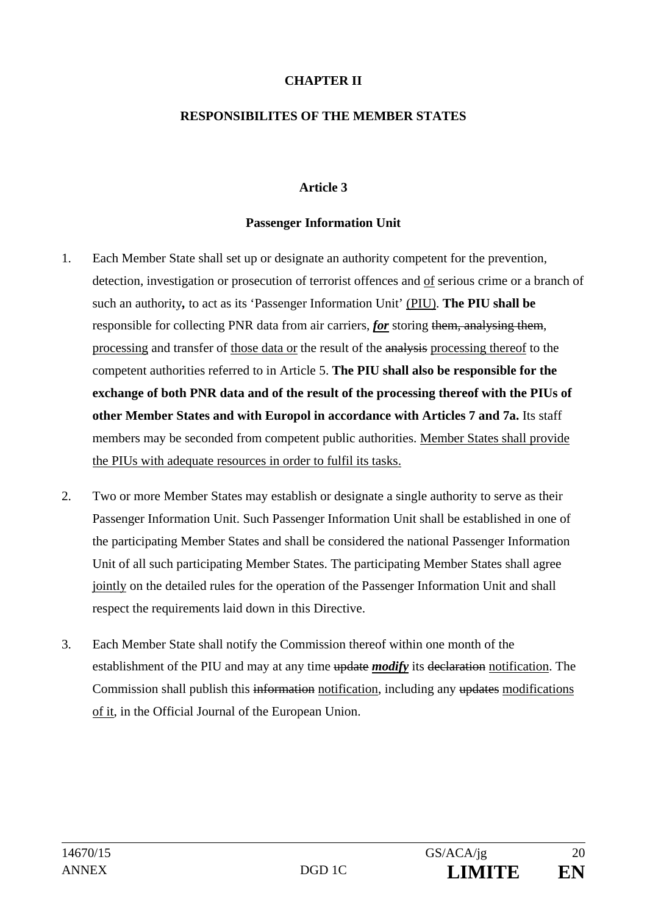## **CHAPTER II**

#### **RESPONSIBILITES OF THE MEMBER STATES**

## **Article 3**

### **Passenger Information Unit**

- 1. Each Member State shall set up or designate an authority competent for the prevention, detection, investigation or prosecution of terrorist offences and of serious crime or a branch of such an authority*,* to act as its 'Passenger Information Unit' (PIU). **The PIU shall be**  responsible for collecting PNR data from air carriers, *for* storing them, analysing them, processing and transfer of those data or the result of the analysis processing thereof to the competent authorities referred to in Article 5. **The PIU shall also be responsible for the exchange of both PNR data and of the result of the processing thereof with the PIUs of other Member States and with Europol in accordance with Articles 7 and 7a.** Its staff members may be seconded from competent public authorities. Member States shall provide the PIUs with adequate resources in order to fulfil its tasks.
- 2. Two or more Member States may establish or designate a single authority to serve as their Passenger Information Unit. Such Passenger Information Unit shall be established in one of the participating Member States and shall be considered the national Passenger Information Unit of all such participating Member States. The participating Member States shall agree jointly on the detailed rules for the operation of the Passenger Information Unit and shall respect the requirements laid down in this Directive.
- 3. Each Member State shall notify the Commission thereof within one month of the establishment of the PIU and may at any time update *modify* its declaration notification. The Commission shall publish this information notification, including any updates modifications of it, in the Official Journal of the European Union.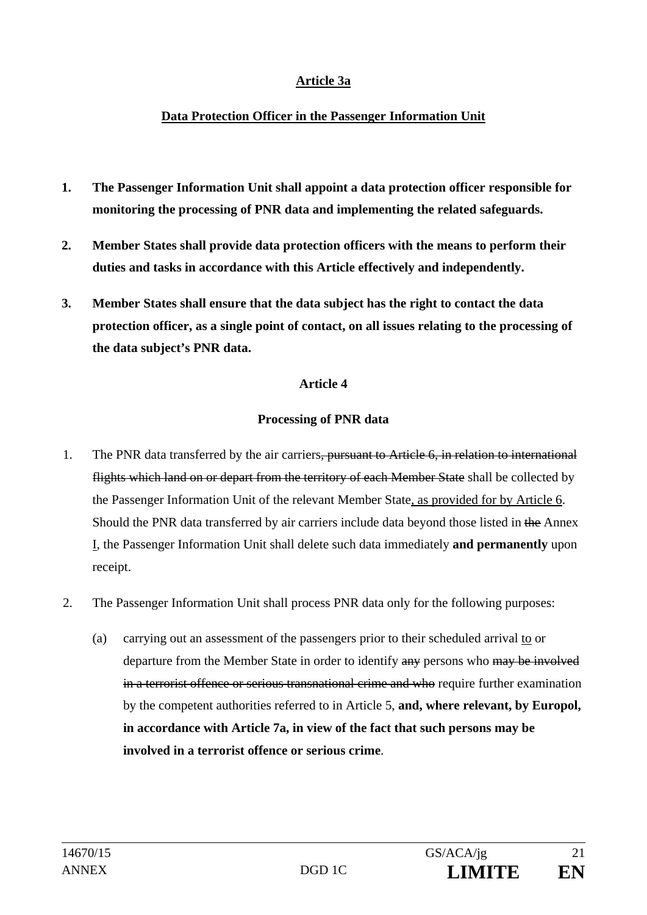## **Article 3a**

### **Data Protection Officer in the Passenger Information Unit**

- **1. The Passenger Information Unit shall appoint a data protection officer responsible for monitoring the processing of PNR data and implementing the related safeguards.**
- **2. Member States shall provide data protection officers with the means to perform their duties and tasks in accordance with this Article effectively and independently.**
- **3. Member States shall ensure that the data subject has the right to contact the data protection officer, as a single point of contact, on all issues relating to the processing of the data subject's PNR data.**

#### **Article 4**

## **Processing of PNR data**

- 1. The PNR data transferred by the air carriers, pursuant to Article 6, in relation to international flights which land on or depart from the territory of each Member State shall be collected by the Passenger Information Unit of the relevant Member State, as provided for by Article 6. Should the PNR data transferred by air carriers include data beyond those listed in the Annex I, the Passenger Information Unit shall delete such data immediately **and permanently** upon receipt.
- 2. The Passenger Information Unit shall process PNR data only for the following purposes:
	- (a) carrying out an assessment of the passengers prior to their scheduled arrival to or departure from the Member State in order to identify any persons who may be involved in a terrorist offence or serious transnational crime and who require further examination by the competent authorities referred to in Article 5, **and, where relevant, by Europol, in accordance with Article 7a, in view of the fact that such persons may be involved in a terrorist offence or serious crime**.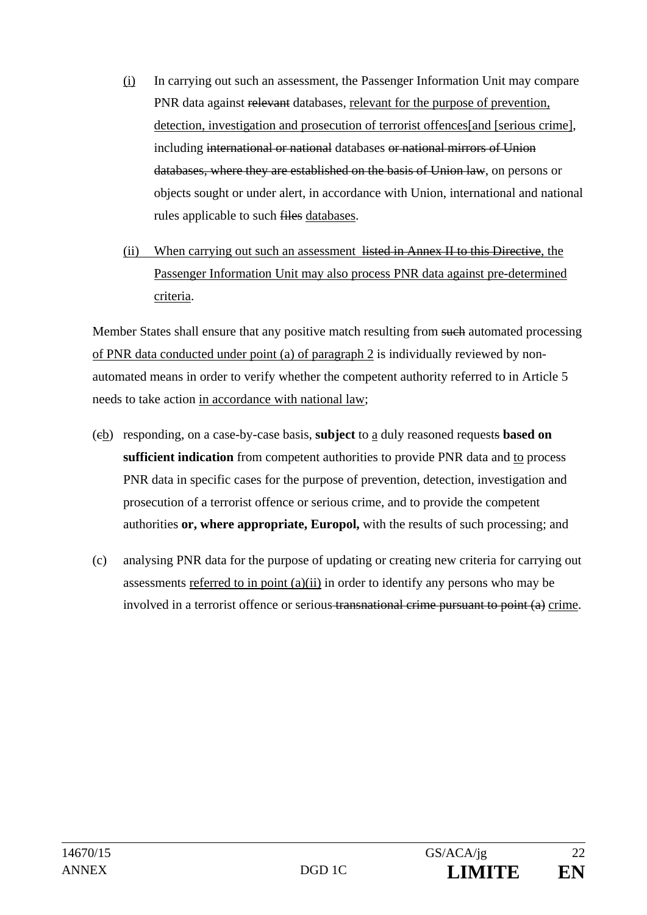- (i) In carrying out such an assessment, the Passenger Information Unit may compare PNR data against relevant databases, relevant for the purpose of prevention, detection, investigation and prosecution of terrorist offences [and [serious crime], including international or national databases or national mirrors of Union databases, where they are established on the basis of Union law, on persons or objects sought or under alert, in accordance with Union, international and national rules applicable to such files databases.
- (ii) When carrying out such an assessment listed in Annex II to this Directive, the Passenger Information Unit may also process PNR data against pre-determined criteria.

Member States shall ensure that any positive match resulting from such automated processing of PNR data conducted under point (a) of paragraph 2 is individually reviewed by nonautomated means in order to verify whether the competent authority referred to in Article 5 needs to take action in accordance with national law;

- (cb) responding, on a case-by-case basis, **subject** to a duly reasoned requests **based on sufficient indication** from competent authorities to provide PNR data and to process PNR data in specific cases for the purpose of prevention, detection, investigation and prosecution of a terrorist offence or serious crime, and to provide the competent authorities **or, where appropriate, Europol,** with the results of such processing; and
- (c) analysing PNR data for the purpose of updating or creating new criteria for carrying out assessments referred to in point (a)(ii) in order to identify any persons who may be involved in a terrorist offence or serious transnational crime pursuant to point (a) crime.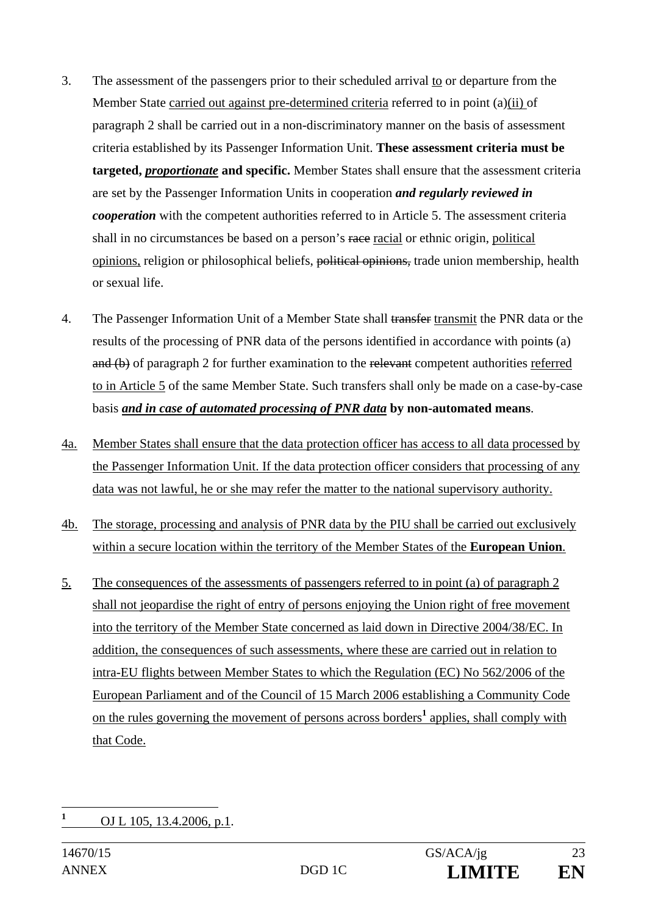- 3. The assessment of the passengers prior to their scheduled arrival to or departure from the Member State carried out against pre-determined criteria referred to in point (a)(ii) of paragraph 2 shall be carried out in a non-discriminatory manner on the basis of assessment criteria established by its Passenger Information Unit. **These assessment criteria must be targeted,** *proportionate* **and specific.** Member States shall ensure that the assessment criteria are set by the Passenger Information Units in cooperation *and regularly reviewed in cooperation* with the competent authorities referred to in Article 5. The assessment criteria shall in no circumstances be based on a person's race racial or ethnic origin, political opinions, religion or philosophical beliefs, political opinions, trade union membership, health or sexual life.
- 4. The Passenger Information Unit of a Member State shall transfer transmit the PNR data or the results of the processing of PNR data of the persons identified in accordance with points (a) and (b) of paragraph 2 for further examination to the relevant competent authorities referred to in Article 5 of the same Member State. Such transfers shall only be made on a case-by-case basis *and in case of automated processing of PNR data* **by non-automated means**.
- 4a. Member States shall ensure that the data protection officer has access to all data processed by the Passenger Information Unit. If the data protection officer considers that processing of any data was not lawful, he or she may refer the matter to the national supervisory authority.
- 4b. The storage, processing and analysis of PNR data by the PIU shall be carried out exclusively within a secure location within the territory of the Member States of the **European Union**.
- 5. The consequences of the assessments of passengers referred to in point (a) of paragraph 2 shall not jeopardise the right of entry of persons enjoying the Union right of free movement into the territory of the Member State concerned as laid down in Directive 2004/38/EC. In addition, the consequences of such assessments, where these are carried out in relation to intra-EU flights between Member States to which the Regulation (EC) No 562/2006 of the European Parliament and of the Council of 15 March 2006 establishing a Community Code on the rules governing the movement of persons across borders<sup>1</sup> applies, shall comply with that Code.

 **1** OJ L 105, 13.4.2006, p.1.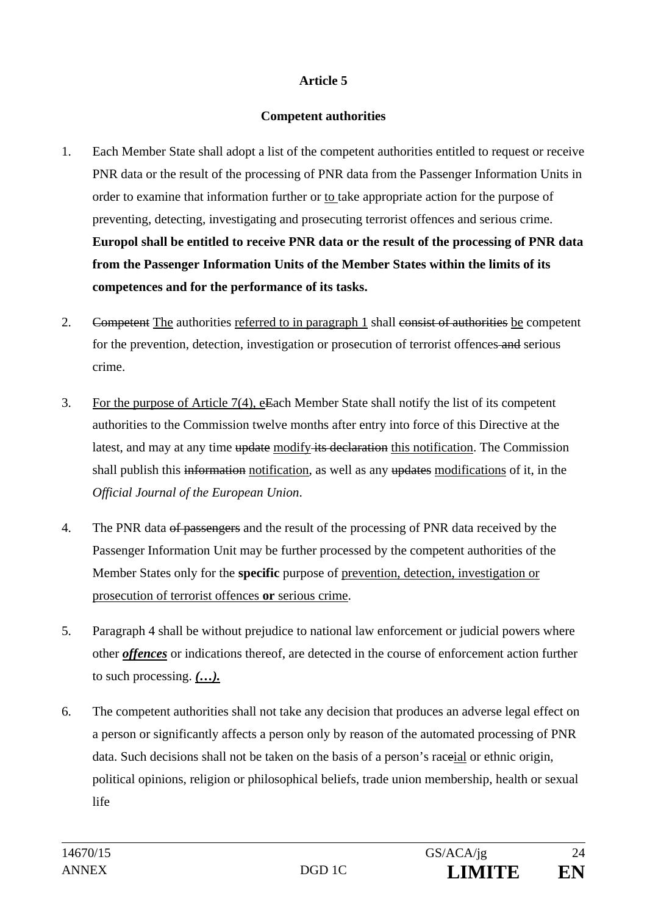## **Competent authorities**

- 1. Each Member State shall adopt a list of the competent authorities entitled to request or receive PNR data or the result of the processing of PNR data from the Passenger Information Units in order to examine that information further or to take appropriate action for the purpose of preventing, detecting, investigating and prosecuting terrorist offences and serious crime. **Europol shall be entitled to receive PNR data or the result of the processing of PNR data from the Passenger Information Units of the Member States within the limits of its competences and for the performance of its tasks.**
- 2. Competent The authorities referred to in paragraph 1 shall consist of authorities be competent for the prevention, detection, investigation or prosecution of terrorist offences and serious crime.
- 3. For the purpose of Article 7(4), eEach Member State shall notify the list of its competent authorities to the Commission twelve months after entry into force of this Directive at the latest, and may at any time update modify its declaration this notification. The Commission shall publish this information notification, as well as any updates modifications of it, in the *Official Journal of the European Union*.
- 4. The PNR data of passengers and the result of the processing of PNR data received by the Passenger Information Unit may be further processed by the competent authorities of the Member States only for the **specific** purpose of prevention, detection, investigation or prosecution of terrorist offences **or** serious crime.
- 5. Paragraph 4 shall be without prejudice to national law enforcement or judicial powers where other *offences* or indications thereof, are detected in the course of enforcement action further to such processing. *(…).*
- 6. The competent authorities shall not take any decision that produces an adverse legal effect on a person or significantly affects a person only by reason of the automated processing of PNR data. Such decisions shall not be taken on the basis of a person's raceial or ethnic origin, political opinions, religion or philosophical beliefs, trade union membership, health or sexual life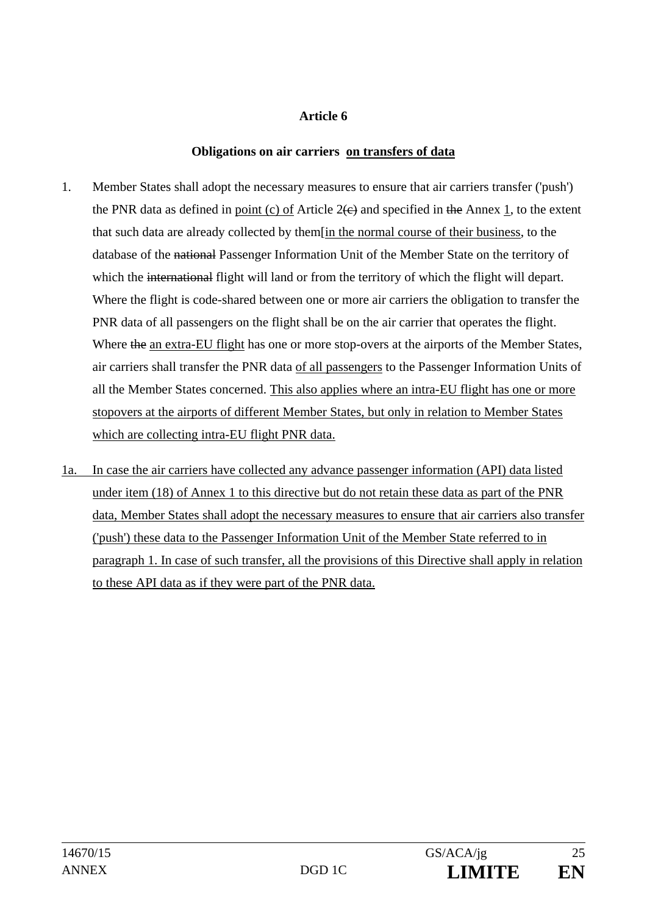## **Obligations on air carriers on transfers of data**

- 1. Member States shall adopt the necessary measures to ensure that air carriers transfer ('push') the PNR data as defined in point (c) of Article  $2(e)$  and specified in the Annex 1, to the extent that such data are already collected by them[in the normal course of their business, to the database of the national Passenger Information Unit of the Member State on the territory of which the international flight will land or from the territory of which the flight will depart. Where the flight is code-shared between one or more air carriers the obligation to transfer the PNR data of all passengers on the flight shall be on the air carrier that operates the flight. Where the an extra-EU flight has one or more stop-overs at the airports of the Member States, air carriers shall transfer the PNR data of all passengers to the Passenger Information Units of all the Member States concerned. This also applies where an intra-EU flight has one or more stopovers at the airports of different Member States, but only in relation to Member States which are collecting intra-EU flight PNR data.
- 1a. In case the air carriers have collected any advance passenger information (API) data listed under item (18) of Annex 1 to this directive but do not retain these data as part of the PNR data, Member States shall adopt the necessary measures to ensure that air carriers also transfer ('push') these data to the Passenger Information Unit of the Member State referred to in paragraph 1. In case of such transfer, all the provisions of this Directive shall apply in relation to these API data as if they were part of the PNR data.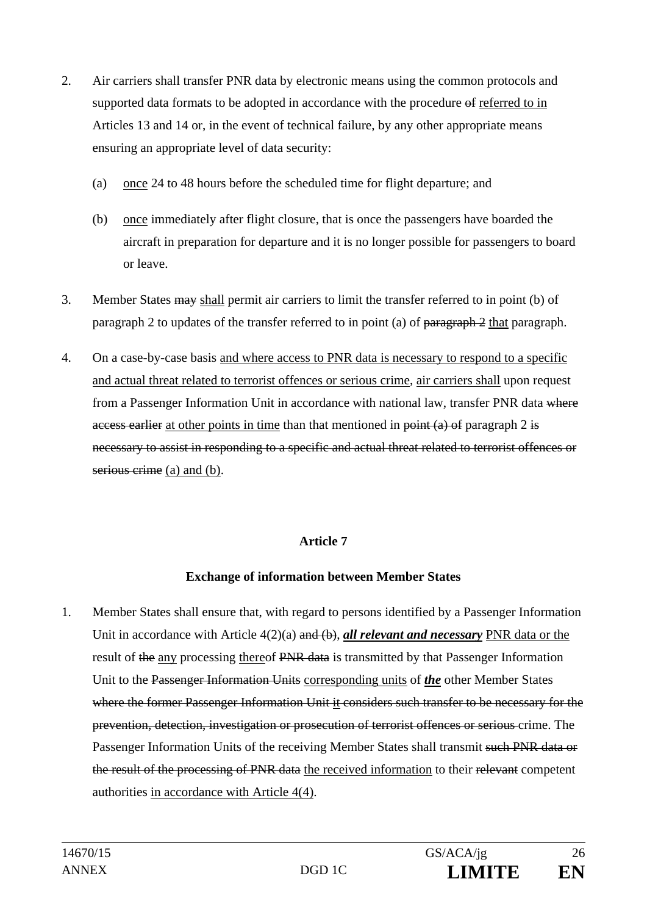- 2. Air carriers shall transfer PNR data by electronic means using the common protocols and supported data formats to be adopted in accordance with the procedure of referred to in Articles 13 and 14 or, in the event of technical failure, by any other appropriate means ensuring an appropriate level of data security:
	- (a) once 24 to 48 hours before the scheduled time for flight departure; and
	- (b) once immediately after flight closure, that is once the passengers have boarded the aircraft in preparation for departure and it is no longer possible for passengers to board or leave.
- 3. Member States may shall permit air carriers to limit the transfer referred to in point (b) of paragraph 2 to updates of the transfer referred to in point (a) of paragraph 2 that paragraph.
- 4. On a case-by-case basis and where access to PNR data is necessary to respond to a specific and actual threat related to terrorist offences or serious crime, air carriers shall upon request from a Passenger Information Unit in accordance with national law, transfer PNR data where access earlier at other points in time than that mentioned in point  $(a)$  of paragraph 2 is necessary to assist in responding to a specific and actual threat related to terrorist offences or serious crime (a) and (b).

## **Exchange of information between Member States**

1. Member States shall ensure that, with regard to persons identified by a Passenger Information Unit in accordance with Article 4(2)(a) and (b), *all relevant and necessary* PNR data or the result of the any processing thereof PNR data is transmitted by that Passenger Information Unit to the Passenger Information Units corresponding units of *the* other Member States where the former Passenger Information Unit it considers such transfer to be necessary for the prevention, detection, investigation or prosecution of terrorist offences or serious crime. The Passenger Information Units of the receiving Member States shall transmit such PNR data or the result of the processing of PNR data the received information to their relevant competent authorities in accordance with Article 4(4).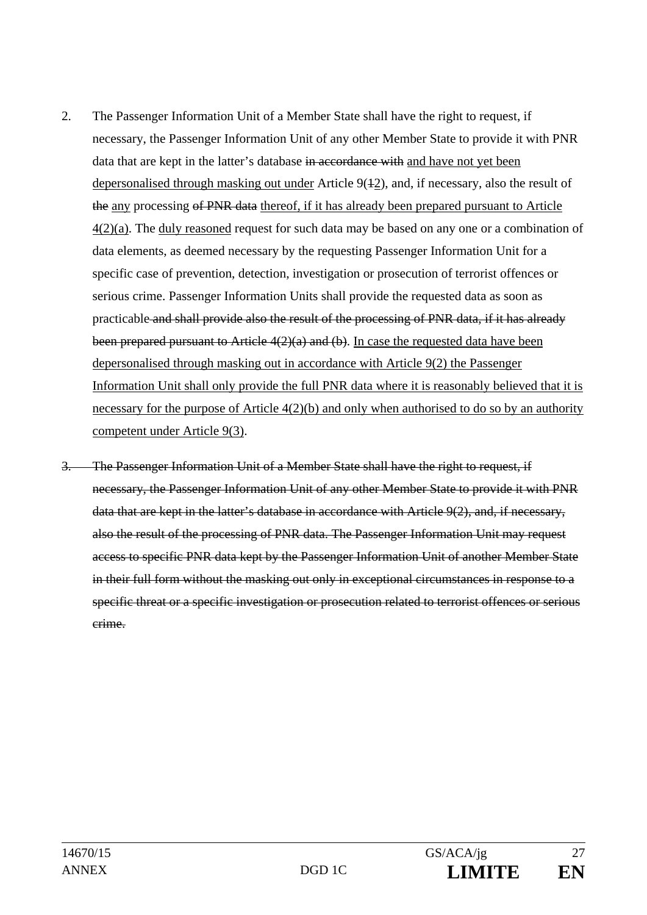- 2. The Passenger Information Unit of a Member State shall have the right to request, if necessary, the Passenger Information Unit of any other Member State to provide it with PNR data that are kept in the latter's database in accordance with and have not yet been depersonalised through masking out under Article 9(42), and, if necessary, also the result of the any processing of PNR data thereof, if it has already been prepared pursuant to Article  $4(2)(a)$ . The duly reasoned request for such data may be based on any one or a combination of data elements, as deemed necessary by the requesting Passenger Information Unit for a specific case of prevention, detection, investigation or prosecution of terrorist offences or serious crime. Passenger Information Units shall provide the requested data as soon as practicable and shall provide also the result of the processing of PNR data, if it has already been prepared pursuant to Article  $4(2)(a)$  and (b). In case the requested data have been depersonalised through masking out in accordance with Article 9(2) the Passenger Information Unit shall only provide the full PNR data where it is reasonably believed that it is necessary for the purpose of Article 4(2)(b) and only when authorised to do so by an authority competent under Article 9(3).
- 3. The Passenger Information Unit of a Member State shall have the right to request, if necessary, the Passenger Information Unit of any other Member State to provide it with PNR data that are kept in the latter's database in accordance with Article 9(2), and, if necessary, also the result of the processing of PNR data. The Passenger Information Unit may request access to specific PNR data kept by the Passenger Information Unit of another Member State in their full form without the masking out only in exceptional circumstances in response to a specific threat or a specific investigation or prosecution related to terrorist offences or serious crime.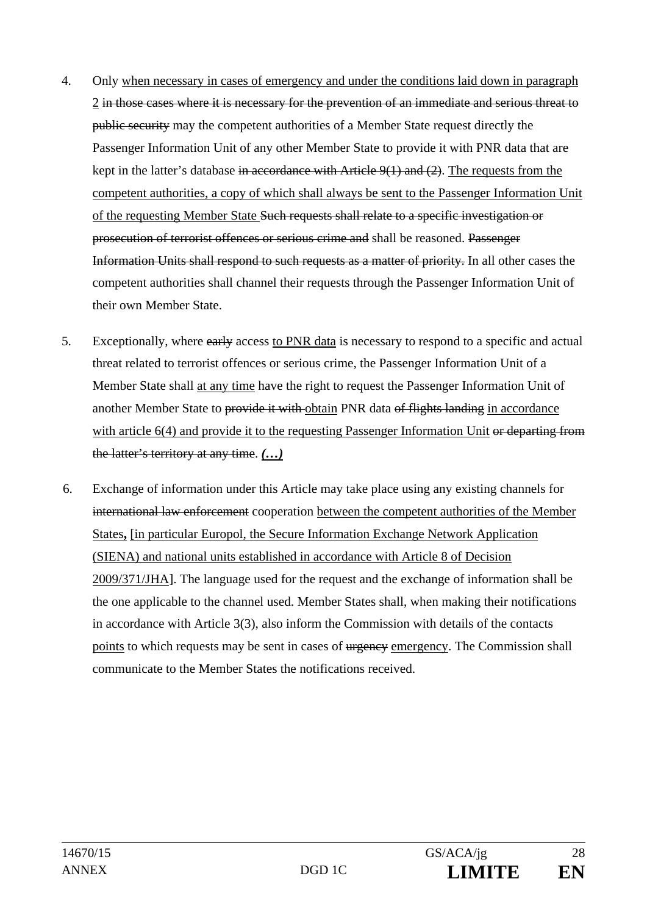- 4. Only when necessary in cases of emergency and under the conditions laid down in paragraph 2 in those cases where it is necessary for the prevention of an immediate and serious threat to public security may the competent authorities of a Member State request directly the Passenger Information Unit of any other Member State to provide it with PNR data that are kept in the latter's database in accordance with Article  $9(1)$  and  $(2)$ . The requests from the competent authorities, a copy of which shall always be sent to the Passenger Information Unit of the requesting Member State Such requests shall relate to a specific investigation or prosecution of terrorist offences or serious crime and shall be reasoned. Passenger Information Units shall respond to such requests as a matter of priority. In all other cases the competent authorities shall channel their requests through the Passenger Information Unit of their own Member State.
- 5. Exceptionally, where early access to PNR data is necessary to respond to a specific and actual threat related to terrorist offences or serious crime, the Passenger Information Unit of a Member State shall at any time have the right to request the Passenger Information Unit of another Member State to provide it with obtain PNR data of flights landing in accordance with article 6(4) and provide it to the requesting Passenger Information Unit or departing from the latter's territory at any time. *(…)*
- 6. Exchange of information under this Article may take place using any existing channels for international law enforcement cooperation between the competent authorities of the Member States**,** [in particular Europol, the Secure Information Exchange Network Application (SIENA) and national units established in accordance with Article 8 of Decision 2009/371/JHA]. The language used for the request and the exchange of information shall be the one applicable to the channel used. Member States shall, when making their notifications in accordance with Article 3(3), also inform the Commission with details of the contacts points to which requests may be sent in cases of urgency emergency. The Commission shall communicate to the Member States the notifications received.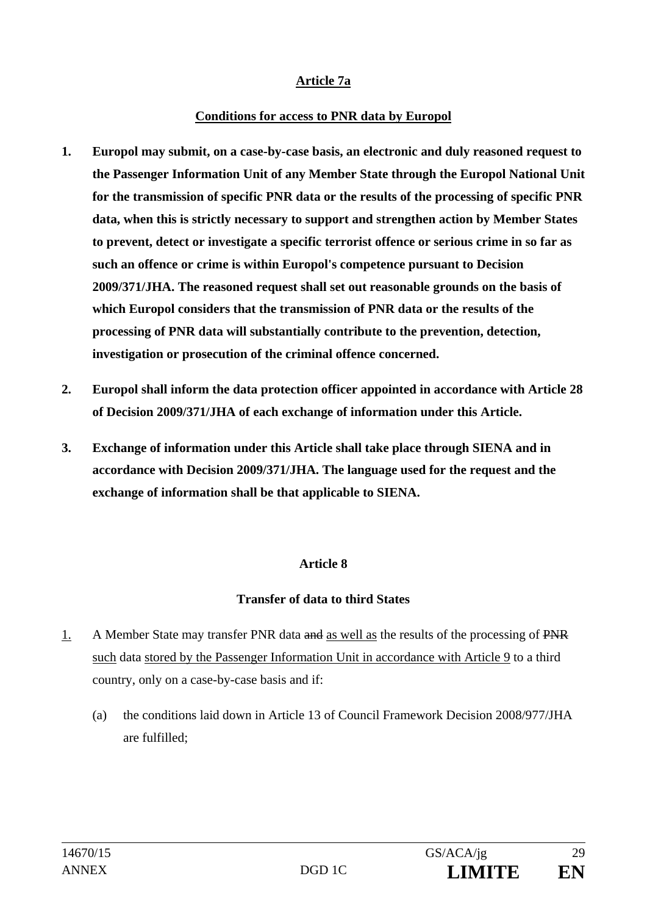## **Article 7a**

#### **Conditions for access to PNR data by Europol**

- **1. Europol may submit, on a case-by-case basis, an electronic and duly reasoned request to the Passenger Information Unit of any Member State through the Europol National Unit for the transmission of specific PNR data or the results of the processing of specific PNR data, when this is strictly necessary to support and strengthen action by Member States to prevent, detect or investigate a specific terrorist offence or serious crime in so far as such an offence or crime is within Europol's competence pursuant to Decision 2009/371/JHA. The reasoned request shall set out reasonable grounds on the basis of which Europol considers that the transmission of PNR data or the results of the processing of PNR data will substantially contribute to the prevention, detection, investigation or prosecution of the criminal offence concerned.**
- **2. Europol shall inform the data protection officer appointed in accordance with Article 28 of Decision 2009/371/JHA of each exchange of information under this Article.**
- **3. Exchange of information under this Article shall take place through SIENA and in accordance with Decision 2009/371/JHA. The language used for the request and the exchange of information shall be that applicable to SIENA.**

## **Article 8**

## **Transfer of data to third States**

- 1. A Member State may transfer PNR data and as well as the results of the processing of PNR such data stored by the Passenger Information Unit in accordance with Article 9 to a third country, only on a case-by-case basis and if:
	- (a) the conditions laid down in Article 13 of Council Framework Decision 2008/977/JHA are fulfilled;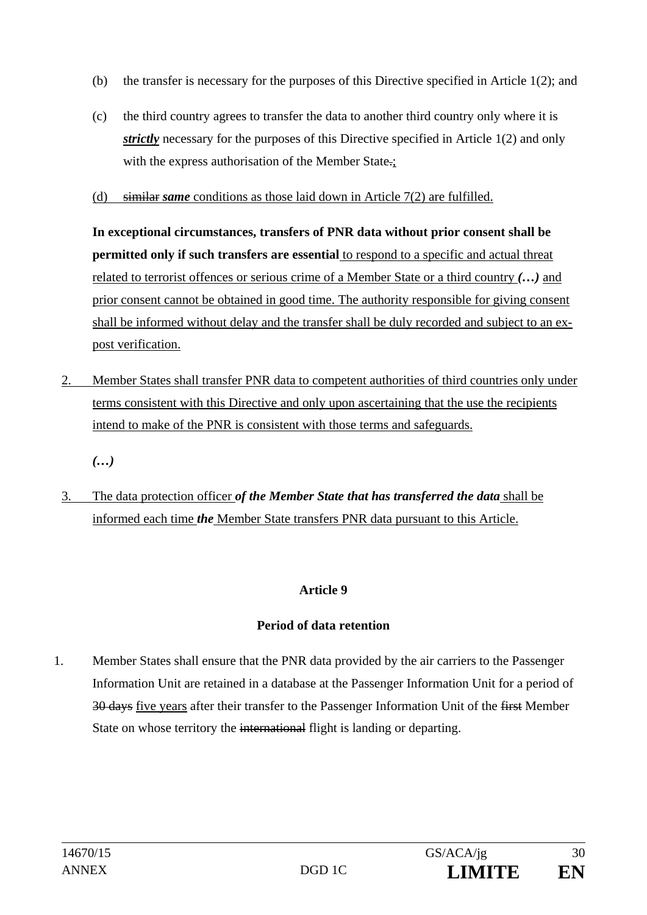- (b) the transfer is necessary for the purposes of this Directive specified in Article 1(2); and
- (c) the third country agrees to transfer the data to another third country only where it is *strictly* necessary for the purposes of this Directive specified in Article 1(2) and only with the express authorisation of the Member State.;
- (d) similar *same* conditions as those laid down in Article 7(2) are fulfilled.

**In exceptional circumstances, transfers of PNR data without prior consent shall be permitted only if such transfers are essential** to respond to a specific and actual threat related to terrorist offences or serious crime of a Member State or a third country *(…)* and prior consent cannot be obtained in good time. The authority responsible for giving consent shall be informed without delay and the transfer shall be duly recorded and subject to an expost verification.

2. Member States shall transfer PNR data to competent authorities of third countries only under terms consistent with this Directive and only upon ascertaining that the use the recipients intend to make of the PNR is consistent with those terms and safeguards.

*(…)* 

3. The data protection officer *of the Member State that has transferred the data* shall be informed each time *the* Member State transfers PNR data pursuant to this Article.

## **Article 9**

## **Period of data retention**

1. Member States shall ensure that the PNR data provided by the air carriers to the Passenger Information Unit are retained in a database at the Passenger Information Unit for a period of 30 days five years after their transfer to the Passenger Information Unit of the first Member State on whose territory the international flight is landing or departing.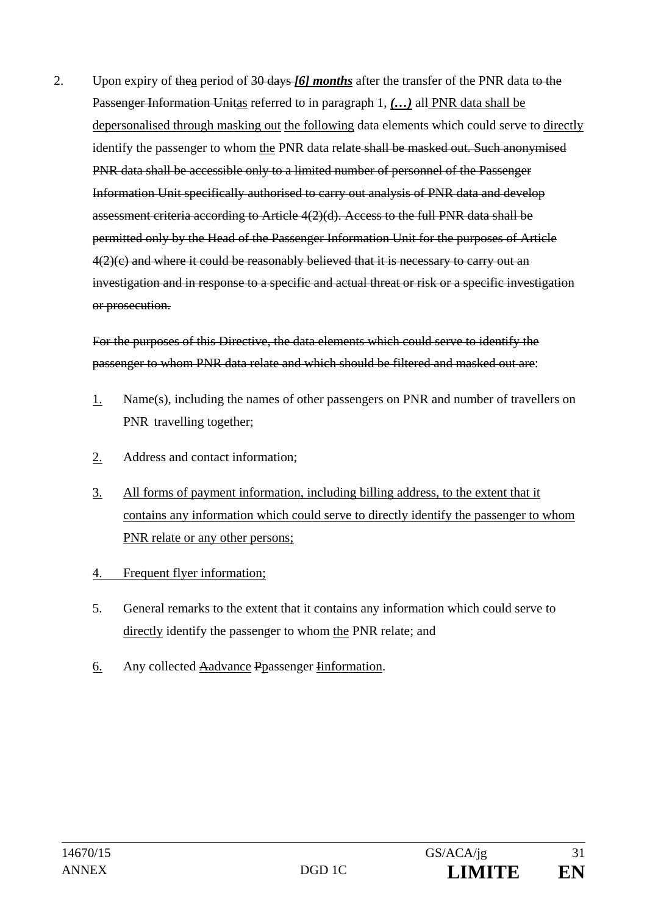2. Upon expiry of thea period of 30 days *[6] months* after the transfer of the PNR data to the Passenger Information Unitas referred to in paragraph 1, *(…)* all PNR data shall be depersonalised through masking out the following data elements which could serve to directly identify the passenger to whom the PNR data relate-shall be masked out. Such anonymised PNR data shall be accessible only to a limited number of personnel of the Passenger Information Unit specifically authorised to carry out analysis of PNR data and develop assessment criteria according to Article 4(2)(d). Access to the full PNR data shall be permitted only by the Head of the Passenger Information Unit for the purposes of Article 4(2)(c) and where it could be reasonably believed that it is necessary to carry out an investigation and in response to a specific and actual threat or risk or a specific investigation or prosecution.

For the purposes of this Directive, the data elements which could serve to identify the passenger to whom PNR data relate and which should be filtered and masked out are:

- 1. Name(s), including the names of other passengers on PNR and number of travellers on PNR travelling together;
- 2. Address and contact information;
- 3. All forms of payment information, including billing address, to the extent that it contains any information which could serve to directly identify the passenger to whom PNR relate or any other persons;
- 4. Frequent flyer information;
- 5. General remarks to the extent that it contains any information which could serve to directly identify the passenger to whom the PNR relate; and
- 6. Any collected Aadvance Ppassenger Iinformation.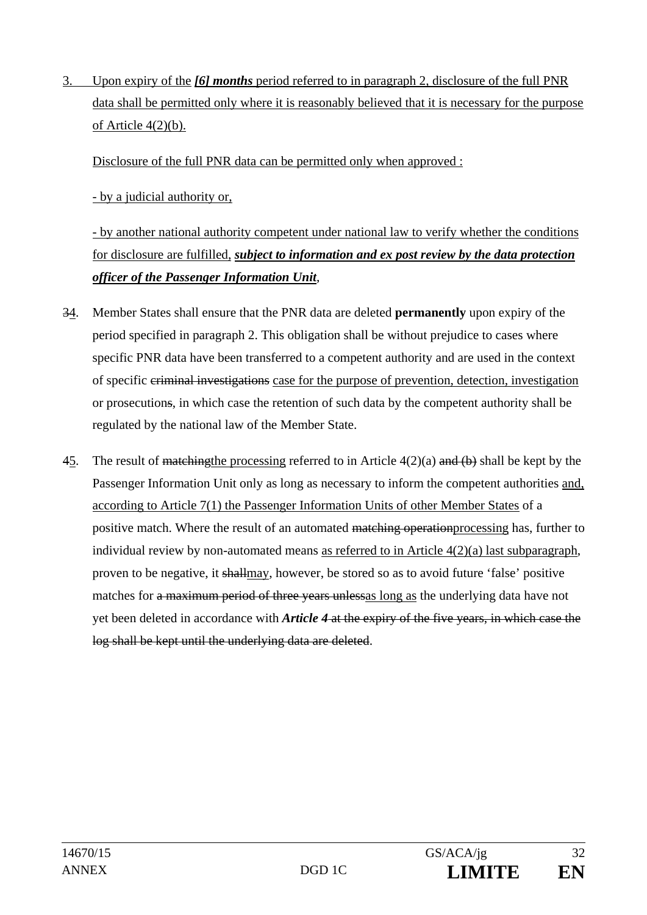3. Upon expiry of the *[6] months* period referred to in paragraph 2, disclosure of the full PNR data shall be permitted only where it is reasonably believed that it is necessary for the purpose of Article 4(2)(b).

Disclosure of the full PNR data can be permitted only when approved :

- by a judicial authority or,

 - by another national authority competent under national law to verify whether the conditions for disclosure are fulfilled, *subject to information and ex post review by the data protection officer of the Passenger Information Unit*,

- 34. Member States shall ensure that the PNR data are deleted **permanently** upon expiry of the period specified in paragraph 2. This obligation shall be without prejudice to cases where specific PNR data have been transferred to a competent authority and are used in the context of specific criminal investigations case for the purpose of prevention, detection, investigation or prosecutions, in which case the retention of such data by the competent authority shall be regulated by the national law of the Member State.
- 45. The result of matching the processing referred to in Article  $4(2)(a)$  and  $(b)$  shall be kept by the Passenger Information Unit only as long as necessary to inform the competent authorities and, according to Article 7(1) the Passenger Information Units of other Member States of a positive match. Where the result of an automated matching operation processing has, further to individual review by non-automated means as referred to in Article 4(2)(a) last subparagraph, proven to be negative, it shallmay, however, be stored so as to avoid future 'false' positive matches for a maximum period of three years unlesses long as the underlying data have not yet been deleted in accordance with *Article 4* at the expiry of the five years, in which case the log shall be kept until the underlying data are deleted.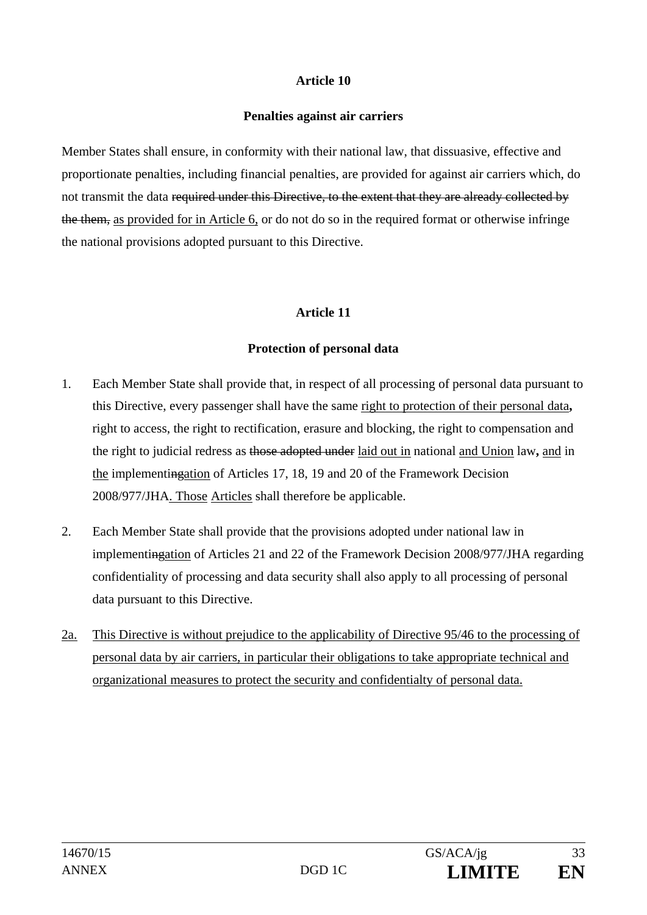#### **Penalties against air carriers**

Member States shall ensure, in conformity with their national law, that dissuasive, effective and proportionate penalties, including financial penalties, are provided for against air carriers which, do not transmit the data required under this Directive, to the extent that they are already collected by the them, as provided for in Article 6, or do not do so in the required format or otherwise infringe the national provisions adopted pursuant to this Directive.

## **Article 11**

#### **Protection of personal data**

- 1. Each Member State shall provide that, in respect of all processing of personal data pursuant to this Directive, every passenger shall have the same right to protection of their personal data**,** right to access, the right to rectification, erasure and blocking, the right to compensation and the right to judicial redress as those adopted under laid out in national and Union law**,** and in the implementingation of Articles 17, 18, 19 and 20 of the Framework Decision 2008/977/JHA. Those Articles shall therefore be applicable.
- 2. Each Member State shall provide that the provisions adopted under national law in implementingation of Articles 21 and 22 of the Framework Decision 2008/977/JHA regarding confidentiality of processing and data security shall also apply to all processing of personal data pursuant to this Directive.
- 2a. This Directive is without prejudice to the applicability of Directive 95/46 to the processing of personal data by air carriers, in particular their obligations to take appropriate technical and organizational measures to protect the security and confidentialty of personal data.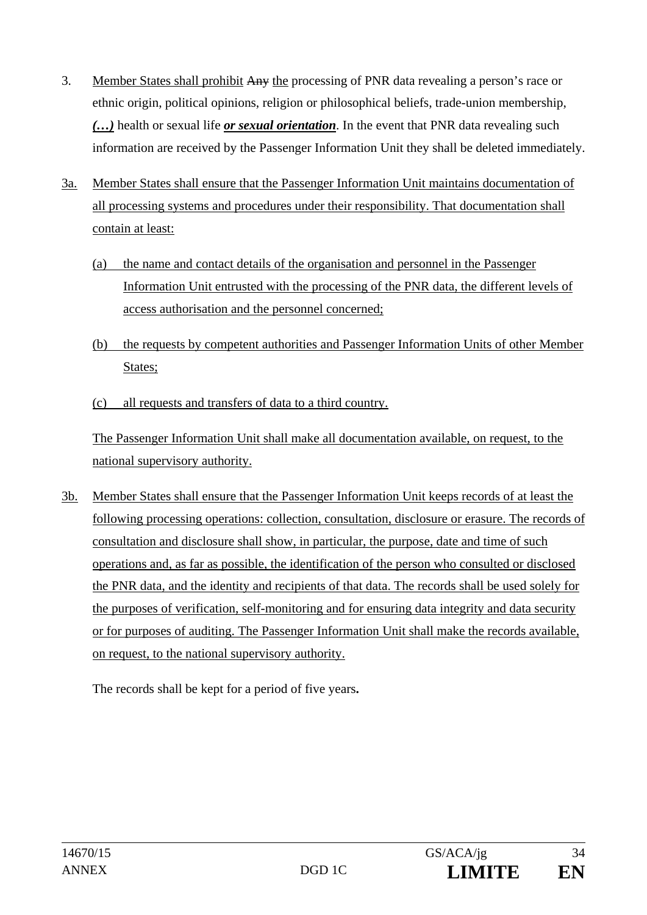- 3. Member States shall prohibit Any the processing of PNR data revealing a person's race or ethnic origin, political opinions, religion or philosophical beliefs, trade-union membership, *(…)* health or sexual life *or sexual orientation*. In the event that PNR data revealing such information are received by the Passenger Information Unit they shall be deleted immediately.
- 3a. Member States shall ensure that the Passenger Information Unit maintains documentation of all processing systems and procedures under their responsibility. That documentation shall contain at least:
	- (a) the name and contact details of the organisation and personnel in the Passenger Information Unit entrusted with the processing of the PNR data, the different levels of access authorisation and the personnel concerned;
	- (b) the requests by competent authorities and Passenger Information Units of other Member States;
	- (c) all requests and transfers of data to a third country.

The Passenger Information Unit shall make all documentation available, on request, to the national supervisory authority.

3b. Member States shall ensure that the Passenger Information Unit keeps records of at least the following processing operations: collection, consultation, disclosure or erasure. The records of consultation and disclosure shall show, in particular, the purpose, date and time of such operations and, as far as possible, the identification of the person who consulted or disclosed the PNR data, and the identity and recipients of that data. The records shall be used solely for the purposes of verification, self-monitoring and for ensuring data integrity and data security or for purposes of auditing. The Passenger Information Unit shall make the records available, on request, to the national supervisory authority.

The records shall be kept for a period of five years**.**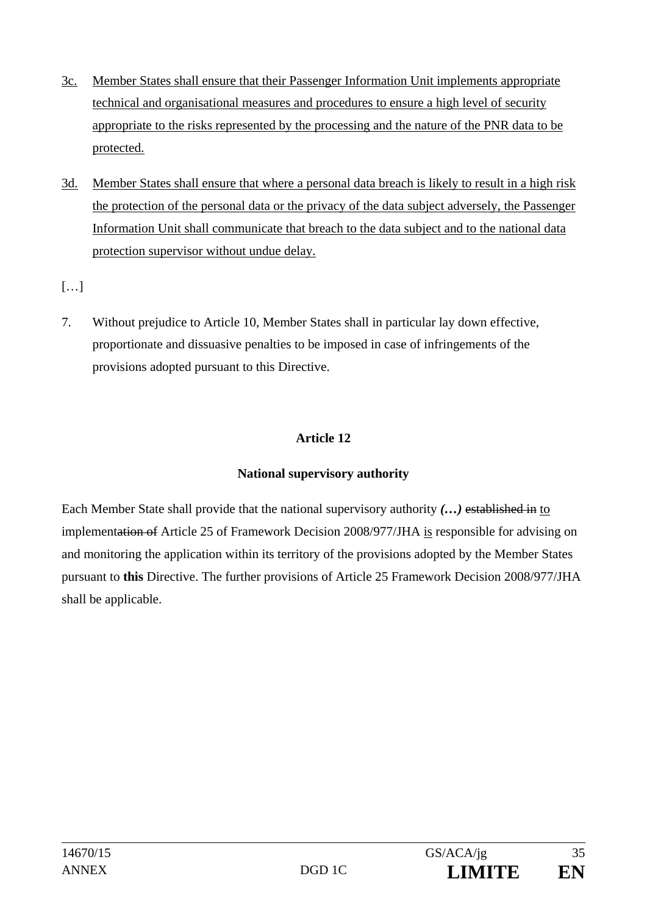- 3c. Member States shall ensure that their Passenger Information Unit implements appropriate technical and organisational measures and procedures to ensure a high level of security appropriate to the risks represented by the processing and the nature of the PNR data to be protected.
- 3d. Member States shall ensure that where a personal data breach is likely to result in a high risk the protection of the personal data or the privacy of the data subject adversely, the Passenger Information Unit shall communicate that breach to the data subject and to the national data protection supervisor without undue delay.

[…]

7. Without prejudice to Article 10, Member States shall in particular lay down effective, proportionate and dissuasive penalties to be imposed in case of infringements of the provisions adopted pursuant to this Directive.

## **Article 12**

## **National supervisory authority**

Each Member State shall provide that the national supervisory authority *(…)* established in to implementation of Article 25 of Framework Decision 2008/977/JHA is responsible for advising on and monitoring the application within its territory of the provisions adopted by the Member States pursuant to **this** Directive. The further provisions of Article 25 Framework Decision 2008/977/JHA shall be applicable.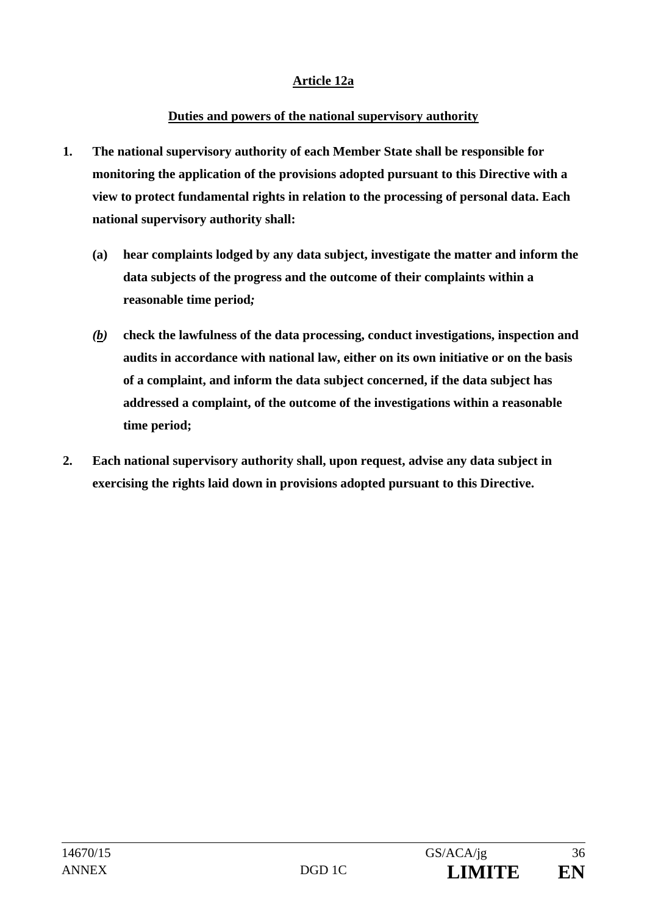## **Article 12a**

## **Duties and powers of the national supervisory authority**

- **1. The national supervisory authority of each Member State shall be responsible for monitoring the application of the provisions adopted pursuant to this Directive with a view to protect fundamental rights in relation to the processing of personal data. Each national supervisory authority shall:** 
	- **(a) hear complaints lodged by any data subject, investigate the matter and inform the data subjects of the progress and the outcome of their complaints within a reasonable time period***;*
	- *(b)* **check the lawfulness of the data processing, conduct investigations, inspection and audits in accordance with national law, either on its own initiative or on the basis of a complaint, and inform the data subject concerned, if the data subject has addressed a complaint, of the outcome of the investigations within a reasonable time period;**
- **2. Each national supervisory authority shall, upon request, advise any data subject in exercising the rights laid down in provisions adopted pursuant to this Directive.**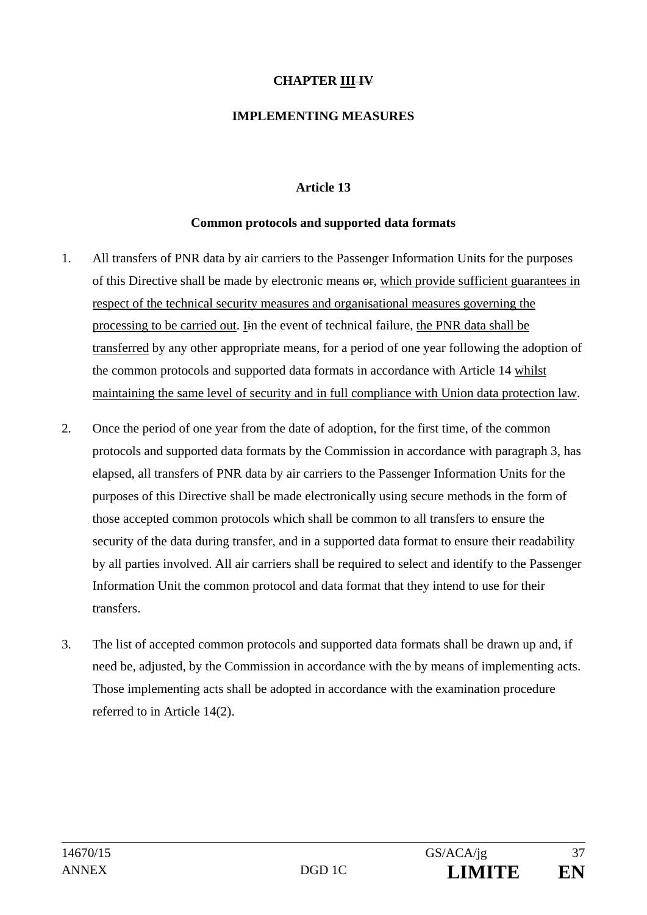## **CHAPTER III +V**

### **IMPLEMENTING MEASURES**

## **Article 13**

#### **Common protocols and supported data formats**

- 1. All transfers of PNR data by air carriers to the Passenger Information Units for the purposes of this Directive shall be made by electronic means or, which provide sufficient guarantees in respect of the technical security measures and organisational measures governing the processing to be carried out. Iin the event of technical failure, the PNR data shall be transferred by any other appropriate means, for a period of one year following the adoption of the common protocols and supported data formats in accordance with Article 14 whilst maintaining the same level of security and in full compliance with Union data protection law.
- 2. Once the period of one year from the date of adoption, for the first time, of the common protocols and supported data formats by the Commission in accordance with paragraph 3, has elapsed, all transfers of PNR data by air carriers to the Passenger Information Units for the purposes of this Directive shall be made electronically using secure methods in the form of those accepted common protocols which shall be common to all transfers to ensure the security of the data during transfer, and in a supported data format to ensure their readability by all parties involved. All air carriers shall be required to select and identify to the Passenger Information Unit the common protocol and data format that they intend to use for their transfers.
- 3. The list of accepted common protocols and supported data formats shall be drawn up and, if need be, adjusted, by the Commission in accordance with the by means of implementing acts. Those implementing acts shall be adopted in accordance with the examination procedure referred to in Article 14(2).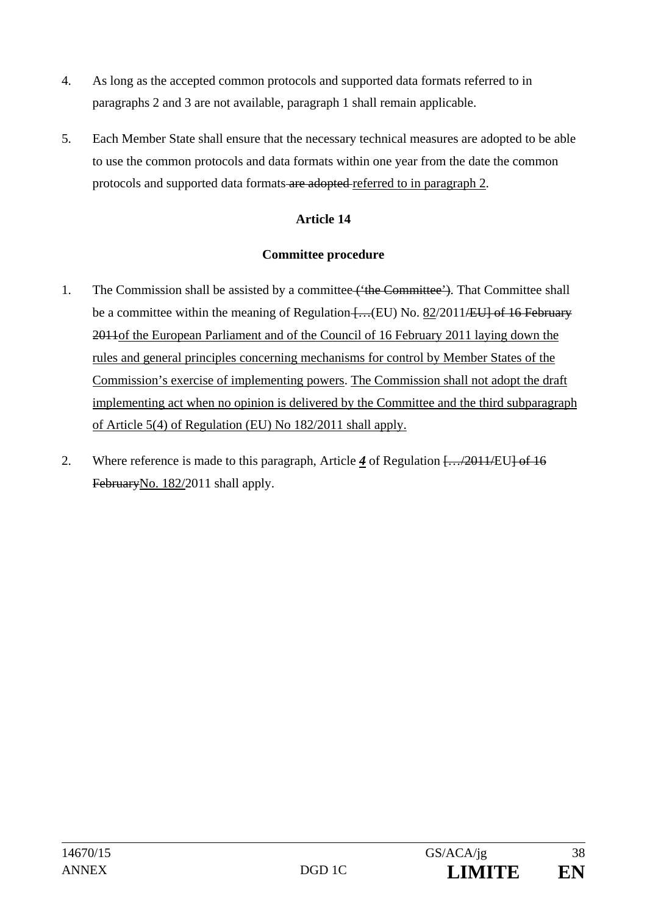- 4. As long as the accepted common protocols and supported data formats referred to in paragraphs 2 and 3 are not available, paragraph 1 shall remain applicable.
- 5. Each Member State shall ensure that the necessary technical measures are adopted to be able to use the common protocols and data formats within one year from the date the common protocols and supported data formats are adopted referred to in paragraph 2.

## **Committee procedure**

- 1. The Commission shall be assisted by a committee ('the Committee'). That Committee shall be a committee within the meaning of Regulation  $[... (EU)$  No. 82/2011/EU of 16 February 2011of the European Parliament and of the Council of 16 February 2011 laying down the rules and general principles concerning mechanisms for control by Member States of the Commission's exercise of implementing powers. The Commission shall not adopt the draft implementing act when no opinion is delivered by the Committee and the third subparagraph of Article 5(4) of Regulation (EU) No 182/2011 shall apply.
- 2. Where reference is made to this paragraph, Article *4* of Regulation […/2011/EU] of 16 FebruaryNo. 182/2011 shall apply.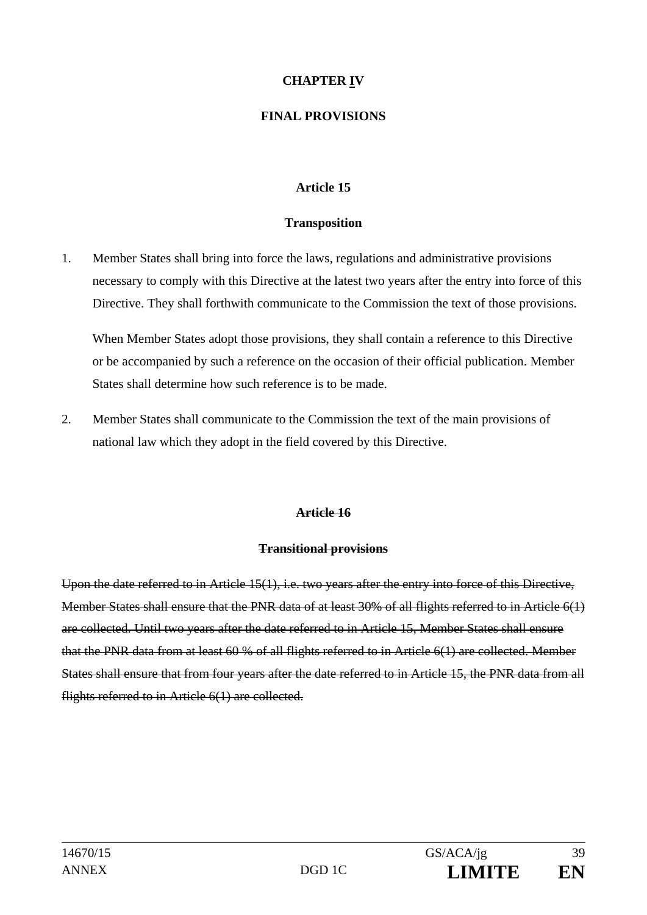## **CHAPTER IV**

## **FINAL PROVISIONS**

## **Article 15**

#### **Transposition**

1. Member States shall bring into force the laws, regulations and administrative provisions necessary to comply with this Directive at the latest two years after the entry into force of this Directive. They shall forthwith communicate to the Commission the text of those provisions.

When Member States adopt those provisions, they shall contain a reference to this Directive or be accompanied by such a reference on the occasion of their official publication. Member States shall determine how such reference is to be made.

2. Member States shall communicate to the Commission the text of the main provisions of national law which they adopt in the field covered by this Directive.

#### **Article 16**

#### **Transitional provisions**

Upon the date referred to in Article 15(1), i.e. two years after the entry into force of this Directive, Member States shall ensure that the PNR data of at least 30% of all flights referred to in Article 6(1) are collected. Until two years after the date referred to in Article 15, Member States shall ensure that the PNR data from at least 60 % of all flights referred to in Article 6(1) are collected. Member States shall ensure that from four years after the date referred to in Article 15, the PNR data from all flights referred to in Article 6(1) are collected.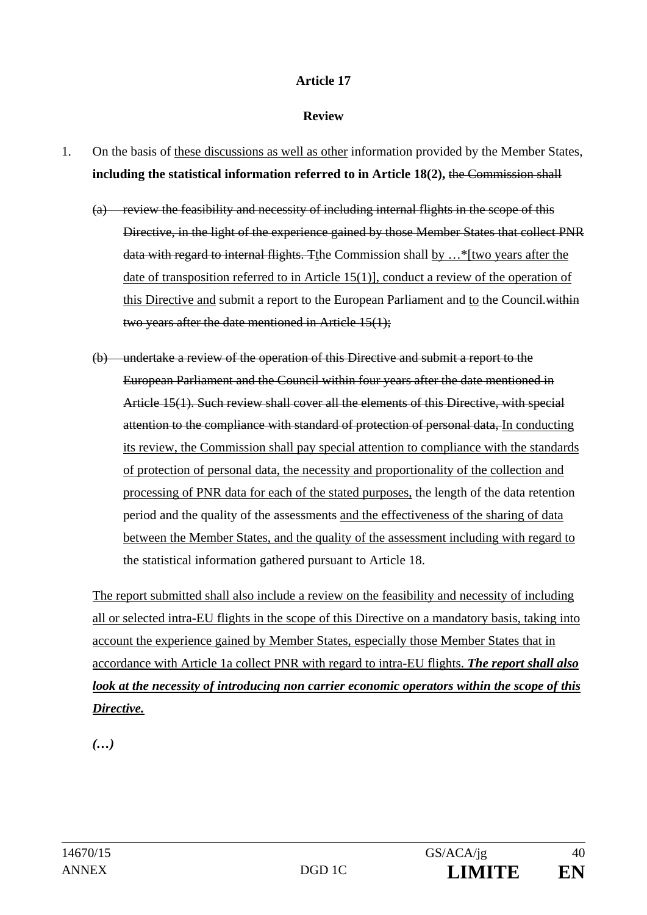#### **Review**

- 1. On the basis of these discussions as well as other information provided by the Member States, **including the statistical information referred to in Article 18(2),** the Commission shall
	- (a) review the feasibility and necessity of including internal flights in the scope of this Directive, in the light of the experience gained by those Member States that collect PNR data with regard to internal flights. Tthe Commission shall by …\*[two years after the date of transposition referred to in Article 15(1)], conduct a review of the operation of this Directive and submit a report to the European Parliament and to the Council*.*within two years after the date mentioned in Article 15(1);
	- (b) undertake a review of the operation of this Directive and submit a report to the European Parliament and the Council within four years after the date mentioned in Article 15(1). Such review shall cover all the elements of this Directive, with special attention to the compliance with standard of protection of personal data, In conducting its review, the Commission shall pay special attention to compliance with the standards of protection of personal data, the necessity and proportionality of the collection and processing of PNR data for each of the stated purposes, the length of the data retention period and the quality of the assessments and the effectiveness of the sharing of data between the Member States, and the quality of the assessment including with regard to the statistical information gathered pursuant to Article 18.

The report submitted shall also include a review on the feasibility and necessity of including all or selected intra-EU flights in the scope of this Directive on a mandatory basis, taking into account the experience gained by Member States, especially those Member States that in accordance with Article 1a collect PNR with regard to intra-EU flights. *The report shall also look at the necessity of introducing non carrier economic operators within the scope of this Directive.* 

*(…)*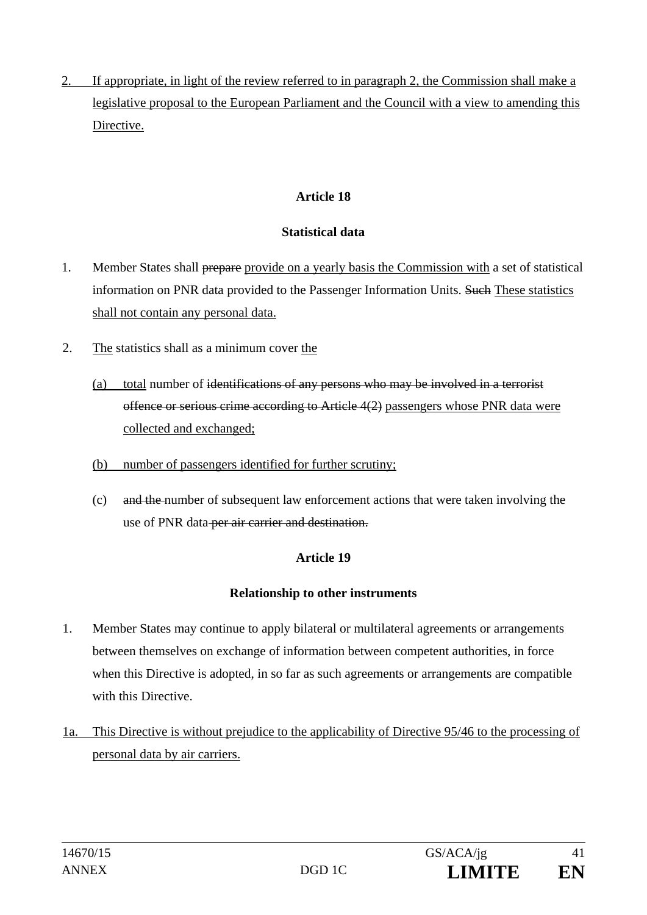2. If appropriate, in light of the review referred to in paragraph 2, the Commission shall make a legislative proposal to the European Parliament and the Council with a view to amending this Directive.

## **Article 18**

## **Statistical data**

- 1. Member States shall prepare provide on a yearly basis the Commission with a set of statistical information on PNR data provided to the Passenger Information Units. Such These statistics shall not contain any personal data.
- 2. The statistics shall as a minimum cover the
	- (a) total number of identifications of any persons who may be involved in a terrorist offence or serious crime according to Article 4(2) passengers whose PNR data were collected and exchanged;
	- (b) number of passengers identified for further scrutiny;
	- (c) and the number of subsequent law enforcement actions that were taken involving the use of PNR data-per air carrier and destination.

## **Article 19**

## **Relationship to other instruments**

- 1. Member States may continue to apply bilateral or multilateral agreements or arrangements between themselves on exchange of information between competent authorities, in force when this Directive is adopted, in so far as such agreements or arrangements are compatible with this Directive.
- 1a. This Directive is without prejudice to the applicability of Directive 95/46 to the processing of personal data by air carriers.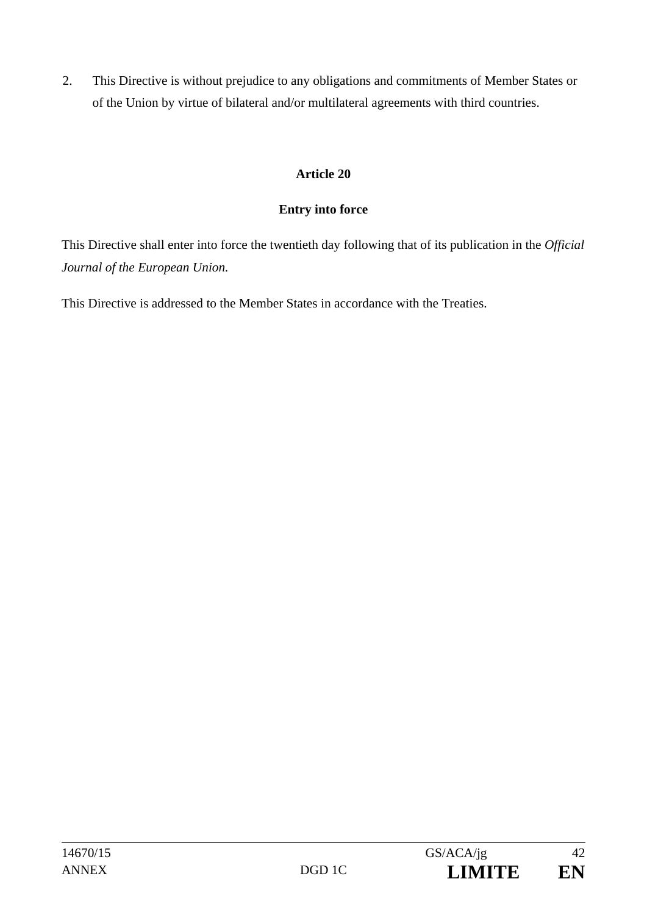2. This Directive is without prejudice to any obligations and commitments of Member States or of the Union by virtue of bilateral and/or multilateral agreements with third countries.

## **Article 20**

## **Entry into force**

This Directive shall enter into force the twentieth day following that of its publication in the *Official Journal of the European Union.*

This Directive is addressed to the Member States in accordance with the Treaties.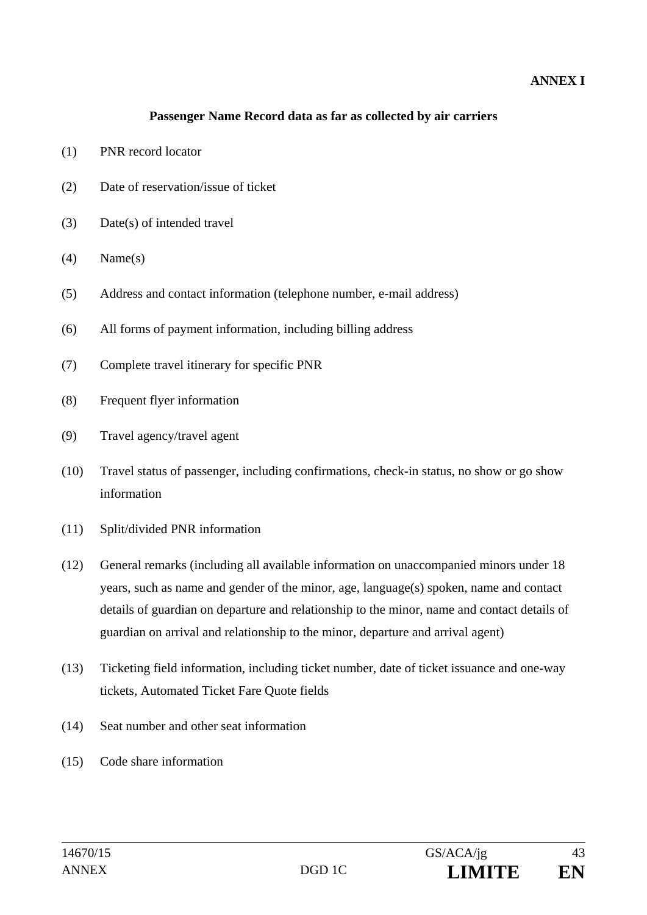### **ANNEX I**

#### **Passenger Name Record data as far as collected by air carriers**

- (1) PNR record locator
- (2) Date of reservation/issue of ticket
- (3) Date(s) of intended travel
- $(4)$  Name $(s)$
- (5) Address and contact information (telephone number, e-mail address)
- (6) All forms of payment information, including billing address
- (7) Complete travel itinerary for specific PNR
- (8) Frequent flyer information
- (9) Travel agency/travel agent
- (10) Travel status of passenger, including confirmations, check-in status, no show or go show information
- (11) Split/divided PNR information
- (12) General remarks (including all available information on unaccompanied minors under 18 years, such as name and gender of the minor, age, language(s) spoken, name and contact details of guardian on departure and relationship to the minor, name and contact details of guardian on arrival and relationship to the minor, departure and arrival agent)
- (13) Ticketing field information, including ticket number, date of ticket issuance and one-way tickets, Automated Ticket Fare Quote fields
- (14) Seat number and other seat information
- (15) Code share information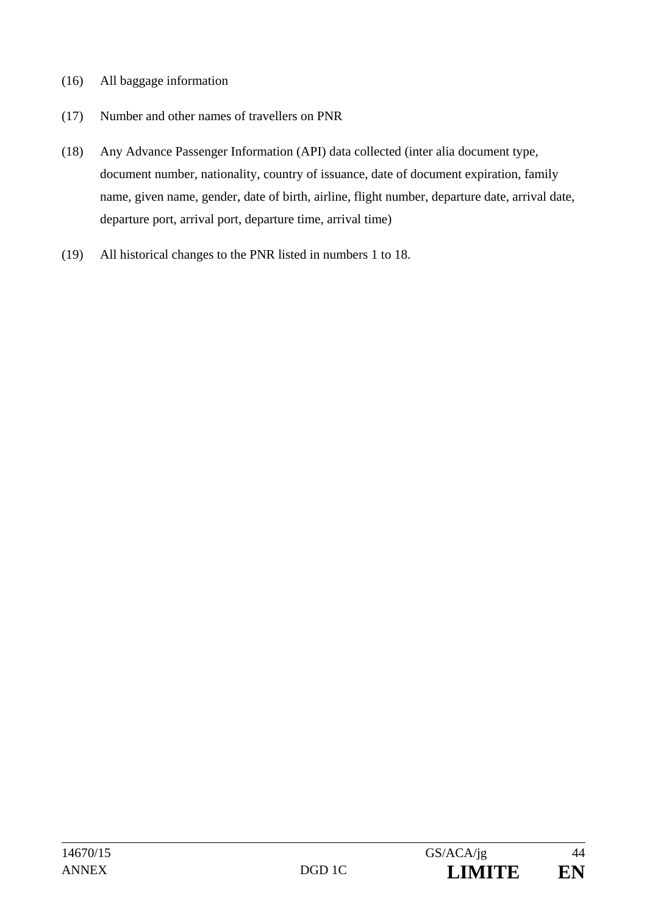- (16) All baggage information
- (17) Number and other names of travellers on PNR
- (18) Any Advance Passenger Information (API) data collected (inter alia document type, document number, nationality, country of issuance, date of document expiration, family name, given name, gender, date of birth, airline, flight number, departure date, arrival date, departure port, arrival port, departure time, arrival time)
- (19) All historical changes to the PNR listed in numbers 1 to 18.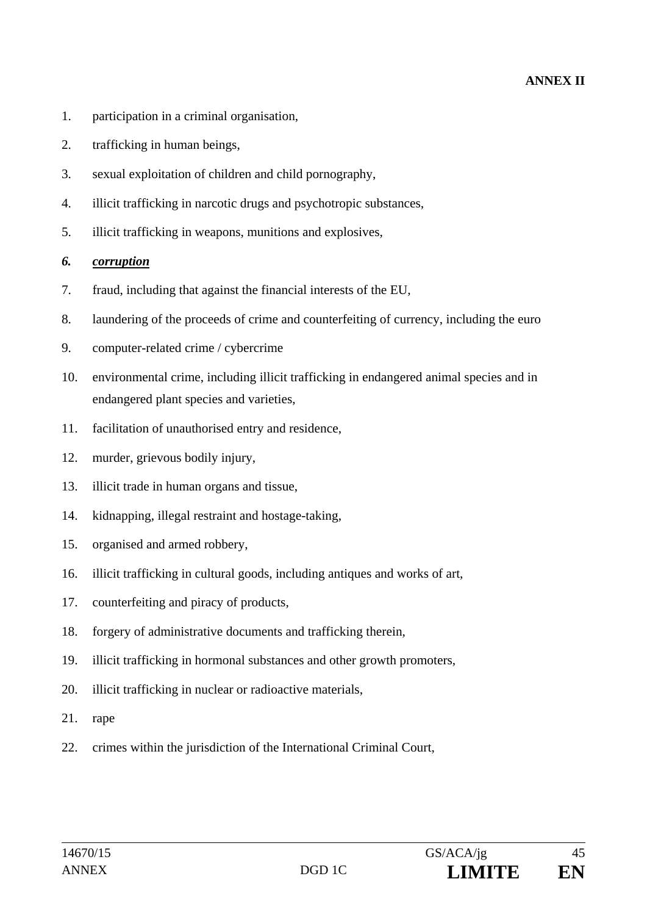### **ANNEX II**

- 1. participation in a criminal organisation,
- 2. trafficking in human beings,
- 3. sexual exploitation of children and child pornography,
- 4. illicit trafficking in narcotic drugs and psychotropic substances,
- 5. illicit trafficking in weapons, munitions and explosives,

#### *6. corruption*

- 7. fraud, including that against the financial interests of the EU,
- 8. laundering of the proceeds of crime and counterfeiting of currency, including the euro
- 9. computer-related crime / cybercrime
- 10. environmental crime, including illicit trafficking in endangered animal species and in endangered plant species and varieties,
- 11. facilitation of unauthorised entry and residence,
- 12. murder, grievous bodily injury,
- 13. illicit trade in human organs and tissue,
- 14. kidnapping, illegal restraint and hostage-taking,
- 15. organised and armed robbery,
- 16. illicit trafficking in cultural goods, including antiques and works of art,
- 17. counterfeiting and piracy of products,
- 18. forgery of administrative documents and trafficking therein,
- 19. illicit trafficking in hormonal substances and other growth promoters,
- 20. illicit trafficking in nuclear or radioactive materials,
- 21. rape
- 22. crimes within the jurisdiction of the International Criminal Court,